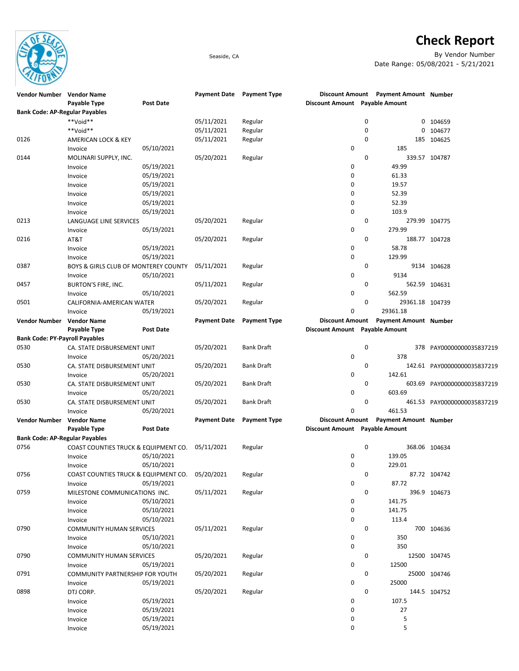

## **Check Report**

Seaside, CA By Vendor Number Date Range: 05/08/2021 - 5/21/2021

| Vendor Number Vendor Name             |                                      |                  | Payment Date Payment Type |                     |                                |             | Discount Amount Payment Amount Number |                             |
|---------------------------------------|--------------------------------------|------------------|---------------------------|---------------------|--------------------------------|-------------|---------------------------------------|-----------------------------|
|                                       | Payable Type                         | <b>Post Date</b> |                           |                     | Discount Amount Payable Amount |             |                                       |                             |
| <b>Bank Code: AP-Regular Payables</b> |                                      |                  |                           |                     |                                |             |                                       |                             |
|                                       | **Void**                             |                  | 05/11/2021                | Regular             |                                | 0           | 0                                     | 104659                      |
|                                       | **Void**                             |                  | 05/11/2021                | Regular             |                                | 0           | 0                                     | 104677                      |
| 0126                                  | AMERICAN LOCK & KEY                  |                  | 05/11/2021                | Regular             |                                | 0           | 185                                   | 104625                      |
|                                       | Invoice                              | 05/10/2021       |                           |                     | 0                              |             | 185                                   |                             |
| 0144                                  | MOLINARI SUPPLY, INC.                |                  | 05/20/2021                | Regular             |                                | $\mathbf 0$ |                                       | 339.57 104787               |
|                                       |                                      | 05/19/2021       |                           |                     | 0                              |             | 49.99                                 |                             |
|                                       | Invoice                              |                  |                           |                     | 0                              |             |                                       |                             |
|                                       | Invoice                              | 05/19/2021       |                           |                     |                                |             | 61.33                                 |                             |
|                                       | Invoice                              | 05/19/2021       |                           |                     | 0                              |             | 19.57                                 |                             |
|                                       | Invoice                              | 05/19/2021       |                           |                     | 0                              |             | 52.39                                 |                             |
|                                       | Invoice                              | 05/19/2021       |                           |                     | 0                              |             | 52.39                                 |                             |
|                                       | Invoice                              | 05/19/2021       |                           |                     | 0                              |             | 103.9                                 |                             |
| 0213                                  | LANGUAGE LINE SERVICES               |                  | 05/20/2021                | Regular             |                                | 0           |                                       | 279.99 104775               |
|                                       | Invoice                              | 05/19/2021       |                           |                     | 0                              |             | 279.99                                |                             |
| 0216                                  | AT&T                                 |                  | 05/20/2021                | Regular             |                                | $\mathbf 0$ |                                       | 188.77 104728               |
|                                       | Invoice                              | 05/19/2021       |                           |                     | 0                              |             | 58.78                                 |                             |
|                                       | Invoice                              | 05/19/2021       |                           |                     | 0                              |             | 129.99                                |                             |
| 0387                                  | BOYS & GIRLS CLUB OF MONTEREY COUNTY |                  | 05/11/2021                | Regular             |                                | 0           |                                       | 9134 104628                 |
|                                       | Invoice                              | 05/10/2021       |                           |                     | 0                              |             | 9134                                  |                             |
| 0457                                  | BURTON'S FIRE, INC.                  |                  | 05/11/2021                | Regular             |                                | 0           |                                       | 562.59 104631               |
|                                       | Invoice                              | 05/10/2021       |                           |                     | 0                              |             | 562.59                                |                             |
| 0501                                  | CALIFORNIA-AMERICAN WATER            |                  | 05/20/2021                | Regular             |                                | $\mathbf 0$ | 29361.18 104739                       |                             |
|                                       | Invoice                              | 05/19/2021       |                           |                     | 0                              |             | 29361.18                              |                             |
|                                       |                                      |                  |                           | <b>Payment Type</b> |                                |             |                                       |                             |
| Vendor Number                         | <b>Vendor Name</b>                   |                  | <b>Payment Date</b>       |                     | <b>Discount Amount</b>         |             | <b>Payment Amount Number</b>          |                             |
|                                       | Payable Type                         | <b>Post Date</b> |                           |                     | Discount Amount Payable Amount |             |                                       |                             |
| <b>Bank Code: PY-Payroll Payables</b> |                                      |                  |                           |                     |                                |             |                                       |                             |
| 0530                                  | CA. STATE DISBURSEMENT UNIT          |                  | 05/20/2021                | <b>Bank Draft</b>   |                                | 0           | 378                                   | PAY00000000035837219        |
|                                       | Invoice                              | 05/20/2021       |                           |                     | 0                              |             | 378                                   |                             |
| 0530                                  | CA. STATE DISBURSEMENT UNIT          |                  | 05/20/2021                | <b>Bank Draft</b>   |                                | 0           |                                       | 142.61 PAY00000000035837219 |
|                                       | Invoice                              | 05/20/2021       |                           |                     | 0                              |             | 142.61                                |                             |
| 0530                                  | CA. STATE DISBURSEMENT UNIT          |                  | 05/20/2021                | <b>Bank Draft</b>   |                                | $\mathbf 0$ |                                       | 603.69 PAY00000000035837219 |
|                                       | Invoice                              | 05/20/2021       |                           |                     | 0                              |             | 603.69                                |                             |
| 0530                                  | CA. STATE DISBURSEMENT UNIT          |                  | 05/20/2021                | <b>Bank Draft</b>   |                                | $\mathbf 0$ |                                       | 461.53 PAY00000000035837219 |
|                                       | Invoice                              | 05/20/2021       |                           |                     | 0                              |             | 461.53                                |                             |
| <b>Vendor Number</b>                  | <b>Vendor Name</b>                   |                  | <b>Payment Date</b>       | <b>Payment Type</b> | <b>Discount Amount</b>         |             | <b>Payment Amount Number</b>          |                             |
|                                       | Payable Type                         | <b>Post Date</b> |                           |                     | Discount Amount Payable Amount |             |                                       |                             |
| <b>Bank Code: AP-Regular Payables</b> |                                      |                  |                           |                     |                                |             |                                       |                             |
| 0756                                  | COAST COUNTIES TRUCK & EQUIPMENT CO. |                  | 05/11/2021                | Regular             |                                | 0           |                                       | 368.06 104634               |
|                                       |                                      | 05/10/2021       |                           |                     | 0                              |             | 139.05                                |                             |
|                                       | Invoice                              |                  |                           |                     | 0                              |             |                                       |                             |
|                                       | Invoice                              | 05/10/2021       |                           |                     |                                |             | 229.01                                |                             |
| 0756                                  | COAST COUNTIES TRUCK & EQUIPMENT CO. |                  | 05/20/2021                | Regular             |                                | 0           |                                       | 87.72 104742                |
|                                       | Invoice                              | 05/19/2021       |                           |                     | 0                              |             | 87.72                                 |                             |
| 0759                                  | MILESTONE COMMUNICATIONS INC.        |                  | 05/11/2021                | Regular             |                                | 0           |                                       | 396.9 104673                |
|                                       | Invoice                              | 05/10/2021       |                           |                     | 0                              |             | 141.75                                |                             |
|                                       | Invoice                              | 05/10/2021       |                           |                     | 0                              |             | 141.75                                |                             |
|                                       | Invoice                              | 05/10/2021       |                           |                     | 0                              |             | 113.4                                 |                             |
| 0790                                  | <b>COMMUNITY HUMAN SERVICES</b>      |                  | 05/11/2021                | Regular             |                                | 0           |                                       | 700 104636                  |
|                                       | Invoice                              | 05/10/2021       |                           |                     | 0                              |             | 350                                   |                             |
|                                       | Invoice                              | 05/10/2021       |                           |                     | 0                              |             | 350                                   |                             |
| 0790                                  | <b>COMMUNITY HUMAN SERVICES</b>      |                  | 05/20/2021                | Regular             |                                | 0           |                                       | 12500 104745                |
|                                       | Invoice                              | 05/19/2021       |                           |                     | 0                              |             | 12500                                 |                             |
| 0791                                  | COMMUNITY PARTNERSHIP FOR YOUTH      |                  | 05/20/2021                | Regular             |                                | 0           |                                       | 25000 104746                |
|                                       | Invoice                              | 05/19/2021       |                           |                     | 0                              |             | 25000                                 |                             |
| 0898                                  |                                      |                  | 05/20/2021                |                     |                                | 0           |                                       |                             |
|                                       | DTJ CORP.                            |                  |                           | Regular             |                                |             |                                       | 144.5 104752                |
|                                       | Invoice                              | 05/19/2021       |                           |                     | 0                              |             | 107.5                                 |                             |
|                                       | Invoice                              | 05/19/2021       |                           |                     | 0                              |             | 27                                    |                             |
|                                       | Invoice                              | 05/19/2021       |                           |                     | 0                              |             | 5                                     |                             |
|                                       | Invoice                              | 05/19/2021       |                           |                     | 0                              |             | 5                                     |                             |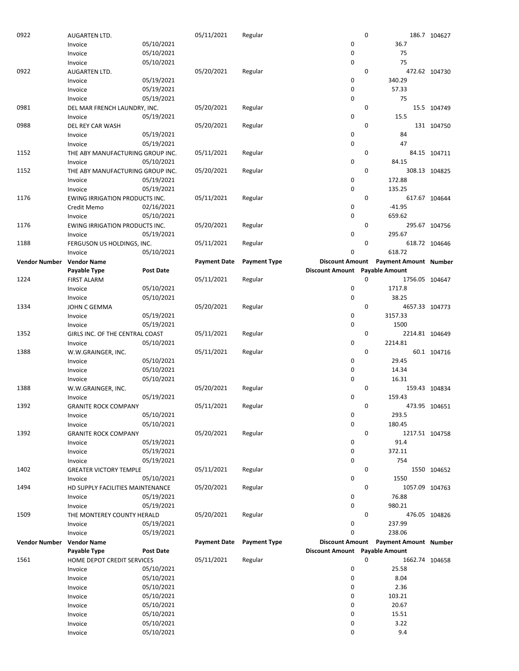| 0922                 |                                  |                  |                     |                     |                                |             |                              |               |
|----------------------|----------------------------------|------------------|---------------------|---------------------|--------------------------------|-------------|------------------------------|---------------|
|                      | AUGARTEN LTD.                    |                  | 05/11/2021          | Regular             |                                | 0           |                              | 186.7 104627  |
|                      | Invoice                          | 05/10/2021       |                     |                     | 0                              |             | 36.7                         |               |
|                      |                                  |                  |                     |                     |                                |             |                              |               |
|                      | Invoice                          | 05/10/2021       |                     |                     | 0                              |             | 75                           |               |
|                      | Invoice                          | 05/10/2021       |                     |                     | 0                              |             | 75                           |               |
| 0922                 | AUGARTEN LTD.                    |                  | 05/20/2021          | Regular             |                                | 0           |                              | 472.62 104730 |
|                      |                                  |                  |                     |                     |                                |             |                              |               |
|                      | Invoice                          | 05/19/2021       |                     |                     | 0                              |             | 340.29                       |               |
|                      | Invoice                          | 05/19/2021       |                     |                     | 0                              |             | 57.33                        |               |
|                      | Invoice                          | 05/19/2021       |                     |                     | 0                              |             | 75                           |               |
|                      |                                  |                  |                     |                     |                                |             |                              |               |
| 0981                 | DEL MAR FRENCH LAUNDRY, INC.     |                  | 05/20/2021          | Regular             |                                | 0           |                              | 15.5 104749   |
|                      | Invoice                          | 05/19/2021       |                     |                     | 0                              |             | 15.5                         |               |
| 0988                 |                                  |                  | 05/20/2021          | Regular             |                                | 0           |                              | 131 104750    |
|                      | DEL REY CAR WASH                 |                  |                     |                     |                                |             |                              |               |
|                      | Invoice                          | 05/19/2021       |                     |                     | 0                              |             | 84                           |               |
|                      | Invoice                          | 05/19/2021       |                     |                     | 0                              |             | 47                           |               |
|                      |                                  |                  |                     |                     |                                |             |                              |               |
| 1152                 | THE ABY MANUFACTURING GROUP INC. |                  | 05/11/2021          | Regular             |                                | 0           |                              | 84.15 104711  |
|                      | Invoice                          | 05/10/2021       |                     |                     | 0                              |             | 84.15                        |               |
| 1152                 | THE ABY MANUFACTURING GROUP INC. |                  | 05/20/2021          | Regular             |                                | 0           |                              | 308.13 104825 |
|                      |                                  |                  |                     |                     |                                |             |                              |               |
|                      | Invoice                          | 05/19/2021       |                     |                     | 0                              |             | 172.88                       |               |
|                      | Invoice                          | 05/19/2021       |                     |                     | 0                              |             | 135.25                       |               |
| 1176                 |                                  |                  | 05/11/2021          | Regular             |                                | 0           |                              | 617.67 104644 |
|                      | EWING IRRIGATION PRODUCTS INC.   |                  |                     |                     |                                |             |                              |               |
|                      | Credit Memo                      | 02/16/2021       |                     |                     | 0                              |             | $-41.95$                     |               |
|                      | Invoice                          | 05/10/2021       |                     |                     | 0                              |             | 659.62                       |               |
|                      |                                  |                  |                     |                     |                                |             |                              |               |
| 1176                 | EWING IRRIGATION PRODUCTS INC.   |                  | 05/20/2021          | Regular             |                                | 0           |                              | 295.67 104756 |
|                      | Invoice                          | 05/19/2021       |                     |                     | 0                              |             | 295.67                       |               |
| 1188                 | FERGUSON US HOLDINGS, INC.       |                  | 05/11/2021          | Regular             |                                | 0           |                              | 618.72 104646 |
|                      |                                  |                  |                     |                     |                                |             |                              |               |
|                      | Invoice                          | 05/10/2021       |                     |                     | 0                              |             | 618.72                       |               |
| <b>Vendor Number</b> | <b>Vendor Name</b>               |                  | <b>Payment Date</b> | <b>Payment Type</b> | <b>Discount Amount</b>         |             | <b>Payment Amount Number</b> |               |
|                      |                                  | <b>Post Date</b> |                     |                     | Discount Amount Payable Amount |             |                              |               |
|                      | Payable Type                     |                  |                     |                     |                                |             |                              |               |
| 1224                 | <b>FIRST ALARM</b>               |                  | 05/11/2021          | Regular             |                                | 0           | 1756.05 104647               |               |
|                      | Invoice                          | 05/10/2021       |                     |                     | 0                              |             | 1717.8                       |               |
|                      |                                  |                  |                     |                     |                                |             |                              |               |
|                      | Invoice                          | 05/10/2021       |                     |                     | 0                              |             | 38.25                        |               |
| 1334                 | JOHN C GEMMA                     |                  | 05/20/2021          | Regular             |                                | 0           | 4657.33 104773               |               |
|                      | Invoice                          | 05/19/2021       |                     |                     | 0                              |             | 3157.33                      |               |
|                      |                                  |                  |                     |                     |                                |             |                              |               |
|                      | Invoice                          | 05/19/2021       |                     |                     | 0                              |             | 1500                         |               |
| 1352                 | GIRLS INC. OF THE CENTRAL COAST  |                  | 05/11/2021          | Regular             |                                | 0           | 2214.81 104649               |               |
|                      | Invoice                          | 05/10/2021       |                     |                     | 0                              |             | 2214.81                      |               |
|                      |                                  |                  |                     |                     |                                |             |                              |               |
| 1388                 | W.W.GRAINGER, INC.               |                  | 05/11/2021          | Regular             |                                | $\mathbf 0$ |                              | 60.1 104716   |
|                      | Invoice                          | 05/10/2021       |                     |                     | 0                              |             | 29.45                        |               |
|                      |                                  |                  |                     |                     |                                |             |                              |               |
|                      | Invoice                          | 05/10/2021       |                     |                     | 0                              |             | 14.34                        |               |
|                      |                                  | 05/10/2021       |                     |                     |                                |             | 16.31                        |               |
|                      | Invoice                          |                  |                     |                     | 0                              |             |                              |               |
|                      |                                  |                  |                     |                     |                                |             |                              |               |
| 1388                 | W.W.GRAINGER, INC.               |                  | 05/20/2021          | Regular             |                                | 0           |                              | 159.43 104834 |
|                      | Invoice                          | 05/19/2021       |                     |                     | 0                              |             | 159.43                       |               |
| 1392                 |                                  |                  |                     |                     |                                | 0           |                              |               |
|                      | <b>GRANITE ROCK COMPANY</b>      |                  | 05/11/2021          | Regular             |                                |             |                              | 473.95 104651 |
|                      | Invoice                          | 05/10/2021       |                     |                     | 0                              |             | 293.5                        |               |
|                      | Invoice                          | 05/10/2021       |                     |                     | 0                              |             | 180.45                       |               |
|                      |                                  |                  |                     |                     |                                |             |                              |               |
| 1392                 | <b>GRANITE ROCK COMPANY</b>      |                  | 05/20/2021          | Regular             |                                | 0           | 1217.51 104758               |               |
|                      | Invoice                          | 05/19/2021       |                     |                     | 0                              |             | 91.4                         |               |
|                      | Invoice                          | 05/19/2021       |                     |                     | 0                              |             | 372.11                       |               |
|                      |                                  |                  |                     |                     |                                |             |                              |               |
|                      | Invoice                          | 05/19/2021       |                     |                     | 0                              |             | 754                          |               |
| 1402                 | <b>GREATER VICTORY TEMPLE</b>    |                  | 05/11/2021          | Regular             |                                | 0           |                              | 1550 104652   |
|                      | Invoice                          | 05/10/2021       |                     |                     | 0                              |             | 1550                         |               |
|                      |                                  |                  |                     |                     |                                |             |                              |               |
| 1494                 | HD SUPPLY FACILITIES MAINTENANCE |                  | 05/20/2021          | Regular             |                                | 0           | 1057.09 104763               |               |
|                      | Invoice                          | 05/19/2021       |                     |                     | 0                              |             | 76.88                        |               |
|                      |                                  |                  |                     |                     | 0                              |             | 980.21                       |               |
|                      | Invoice                          | 05/19/2021       |                     |                     |                                |             |                              |               |
| 1509                 | THE MONTEREY COUNTY HERALD       |                  | 05/20/2021          | Regular             |                                | 0           |                              | 476.05 104826 |
|                      | Invoice                          | 05/19/2021       |                     |                     | 0                              |             | 237.99                       |               |
|                      |                                  |                  |                     |                     |                                |             |                              |               |
|                      | Invoice                          | 05/19/2021       |                     |                     | 0                              |             | 238.06                       |               |
| <b>Vendor Number</b> | <b>Vendor Name</b>               |                  | <b>Payment Date</b> | <b>Payment Type</b> | <b>Discount Amount</b>         |             | <b>Payment Amount Number</b> |               |
|                      | Payable Type                     | <b>Post Date</b> |                     |                     | Discount Amount Payable Amount |             |                              |               |
|                      |                                  |                  |                     |                     |                                |             |                              |               |
| 1561                 | HOME DEPOT CREDIT SERVICES       |                  | 05/11/2021          | Regular             |                                | 0           | 1662.74 104658               |               |
|                      | Invoice                          | 05/10/2021       |                     |                     | 0                              |             | 25.58                        |               |
|                      | Invoice                          | 05/10/2021       |                     |                     | 0                              |             | 8.04                         |               |
|                      |                                  |                  |                     |                     |                                |             |                              |               |
|                      | Invoice                          | 05/10/2021       |                     |                     | 0                              |             | 2.36                         |               |
|                      | Invoice                          | 05/10/2021       |                     |                     | 0                              |             | 103.21                       |               |
|                      |                                  | 05/10/2021       |                     |                     | 0                              |             | 20.67                        |               |
|                      | Invoice                          |                  |                     |                     |                                |             |                              |               |
|                      | Invoice                          | 05/10/2021       |                     |                     | 0                              |             | 15.51                        |               |
|                      | Invoice                          | 05/10/2021       |                     |                     | 0                              |             | 3.22                         |               |
|                      | Invoice                          | 05/10/2021       |                     |                     | 0                              |             | 9.4                          |               |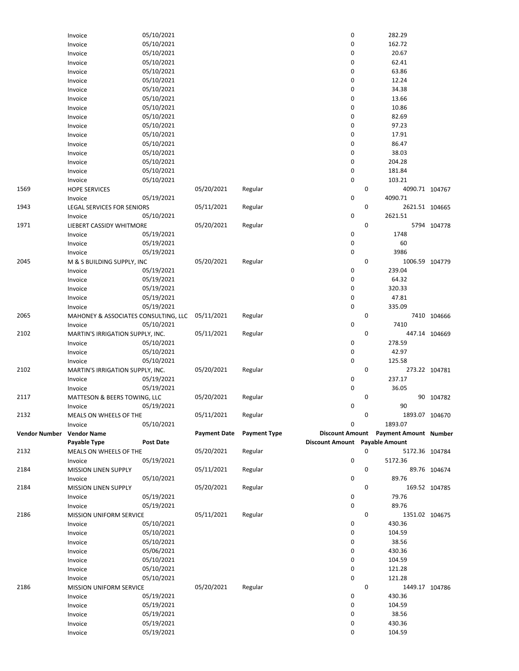|               | Invoice                              | 05/10/2021               |                     |                     | 0                              |   | 282.29                       |               |
|---------------|--------------------------------------|--------------------------|---------------------|---------------------|--------------------------------|---|------------------------------|---------------|
|               | Invoice                              | 05/10/2021               |                     |                     | 0                              |   | 162.72                       |               |
|               | Invoice                              | 05/10/2021               |                     |                     | 0                              |   | 20.67                        |               |
|               | Invoice                              | 05/10/2021               |                     |                     | 0                              |   | 62.41                        |               |
|               | Invoice                              | 05/10/2021               |                     |                     | 0                              |   | 63.86                        |               |
|               | Invoice                              | 05/10/2021               |                     |                     | 0                              |   | 12.24                        |               |
|               |                                      | 05/10/2021               |                     |                     | 0                              |   | 34.38                        |               |
|               | Invoice                              |                          |                     |                     |                                |   |                              |               |
|               | Invoice                              | 05/10/2021               |                     |                     | 0                              |   | 13.66                        |               |
|               | Invoice                              | 05/10/2021               |                     |                     | 0                              |   | 10.86                        |               |
|               | Invoice                              | 05/10/2021               |                     |                     | 0                              |   | 82.69                        |               |
|               | Invoice                              | 05/10/2021               |                     |                     | 0                              |   | 97.23                        |               |
|               | Invoice                              | 05/10/2021               |                     |                     | 0                              |   | 17.91                        |               |
|               | Invoice                              | 05/10/2021               |                     |                     | 0                              |   | 86.47                        |               |
|               | Invoice                              | 05/10/2021               |                     |                     | 0                              |   | 38.03                        |               |
|               | Invoice                              | 05/10/2021               |                     |                     | 0                              |   | 204.28                       |               |
|               | Invoice                              | 05/10/2021               |                     |                     | 0                              |   | 181.84                       |               |
|               | Invoice                              | 05/10/2021               |                     |                     | 0                              |   | 103.21                       |               |
| 1569          |                                      |                          | 05/20/2021          |                     |                                | 0 | 4090.71 104767               |               |
|               | <b>HOPE SERVICES</b>                 |                          |                     | Regular             |                                |   | 4090.71                      |               |
|               | Invoice                              | 05/19/2021               |                     |                     | 0                              |   |                              |               |
| 1943          | <b>LEGAL SERVICES FOR SENIORS</b>    |                          | 05/11/2021          | Regular             |                                | 0 | 2621.51 104665               |               |
|               | Invoice                              | 05/10/2021               |                     |                     | 0                              |   | 2621.51                      |               |
| 1971          | LIEBERT CASSIDY WHITMORE             |                          | 05/20/2021          | Regular             |                                | 0 |                              | 5794 104778   |
|               | Invoice                              | 05/19/2021               |                     |                     | 0                              |   | 1748                         |               |
|               | Invoice                              | 05/19/2021               |                     |                     | 0                              |   | 60                           |               |
|               | Invoice                              | 05/19/2021               |                     |                     | 0                              |   | 3986                         |               |
| 2045          | M & S BUILDING SUPPLY, INC           |                          | 05/20/2021          | Regular             |                                | 0 | 1006.59 104779               |               |
|               | Invoice                              | 05/19/2021               |                     |                     | 0                              |   | 239.04                       |               |
|               | Invoice                              | 05/19/2021               |                     |                     | 0                              |   | 64.32                        |               |
|               | Invoice                              | 05/19/2021               |                     |                     | 0                              |   | 320.33                       |               |
|               |                                      | 05/19/2021               |                     |                     | 0                              |   | 47.81                        |               |
|               | Invoice                              |                          |                     |                     |                                |   |                              |               |
|               | Invoice                              | 05/19/2021               |                     |                     | 0                              |   | 335.09                       |               |
| 2065          | MAHONEY & ASSOCIATES CONSULTING, LLC |                          | 05/11/2021          | Regular             |                                | 0 |                              | 7410 104666   |
|               | Invoice                              | 05/10/2021               |                     |                     | 0                              |   | 7410                         |               |
| 2102          | MARTIN'S IRRIGATION SUPPLY, INC.     |                          | 05/11/2021          | Regular             |                                | 0 |                              | 447.14 104669 |
|               | Invoice                              | 05/10/2021               |                     |                     | 0                              |   | 278.59                       |               |
|               | Invoice                              | 05/10/2021               |                     |                     | 0                              |   | 42.97                        |               |
|               | Invoice                              | 05/10/2021               |                     |                     | 0                              |   | 125.58                       |               |
| 2102          | MARTIN'S IRRIGATION SUPPLY, INC.     |                          | 05/20/2021          | Regular             |                                | 0 |                              | 273.22 104781 |
|               | Invoice                              | 05/19/2021               |                     |                     | 0                              |   | 237.17                       |               |
|               | Invoice                              | 05/19/2021               |                     |                     | 0                              |   | 36.05                        |               |
| 2117          | MATTESON & BEERS TOWING, LLC         |                          | 05/20/2021          | Regular             |                                | 0 |                              | 90 104782     |
|               |                                      |                          |                     |                     | 0                              |   | 90                           |               |
|               | Invoice                              | 05/19/2021               |                     |                     |                                |   |                              |               |
| 2132          | MEALS ON WHEELS OF THE               |                          | 05/11/2021          | Regular             |                                | 0 | 1893.07 104670               |               |
|               | Invoice                              | 05/10/2021               |                     |                     | 0                              |   | 1893.07                      |               |
| Vendor Number | <b>Vendor Name</b>                   |                          | <b>Payment Date</b> | <b>Payment Type</b> | <b>Discount Amount</b>         |   | <b>Payment Amount Number</b> |               |
|               | Payable Type                         | <b>Post Date</b>         |                     |                     | Discount Amount Payable Amount |   |                              |               |
| 2132          | MEALS ON WHEELS OF THE               |                          | 05/20/2021          | Regular             |                                | 0 | 5172.36 104784               |               |
|               | Invoice                              | 05/19/2021               |                     |                     | 0                              |   | 5172.36                      |               |
| 2184          | <b>MISSION LINEN SUPPLY</b>          |                          | 05/11/2021          | Regular             |                                | 0 |                              | 89.76 104674  |
|               | Invoice                              | 05/10/2021               |                     |                     | 0                              |   | 89.76                        |               |
| 2184          | <b>MISSION LINEN SUPPLY</b>          |                          | 05/20/2021          | Regular             |                                | 0 |                              | 169.52 104785 |
|               | Invoice                              | 05/19/2021               |                     |                     | 0                              |   | 79.76                        |               |
|               |                                      | 05/19/2021               |                     |                     | 0                              |   | 89.76                        |               |
|               | Invoice                              |                          |                     |                     |                                |   |                              |               |
| 2186          | <b>MISSION UNIFORM SERVICE</b>       |                          | 05/11/2021          | Regular             |                                | 0 | 1351.02 104675               |               |
|               | Invoice                              | 05/10/2021               |                     |                     | 0                              |   | 430.36                       |               |
|               | Invoice                              | 05/10/2021               |                     |                     | 0                              |   | 104.59                       |               |
|               | Invoice                              | 05/10/2021               |                     |                     | 0                              |   | 38.56                        |               |
|               | Invoice                              | 05/06/2021               |                     |                     | 0                              |   | 430.36                       |               |
|               | Invoice                              | 05/10/2021               |                     |                     | 0                              |   | 104.59                       |               |
|               | Invoice                              | 05/10/2021               |                     |                     | 0                              |   | 121.28                       |               |
|               | Invoice                              | 05/10/2021               |                     |                     | 0                              |   | 121.28                       |               |
| 2186          | MISSION UNIFORM SERVICE              |                          | 05/20/2021          | Regular             |                                | 0 | 1449.17 104786               |               |
|               | Invoice                              | 05/19/2021               |                     |                     | 0                              |   | 430.36                       |               |
|               | Invoice                              | 05/19/2021               |                     |                     | 0                              |   | 104.59                       |               |
|               |                                      |                          |                     |                     |                                |   | 38.56                        |               |
|               | Invoice                              | 05/19/2021               |                     |                     | 0                              |   |                              |               |
|               |                                      |                          |                     |                     |                                |   |                              |               |
|               | Invoice<br>Invoice                   | 05/19/2021<br>05/19/2021 |                     |                     | 0<br>0                         |   | 430.36<br>104.59             |               |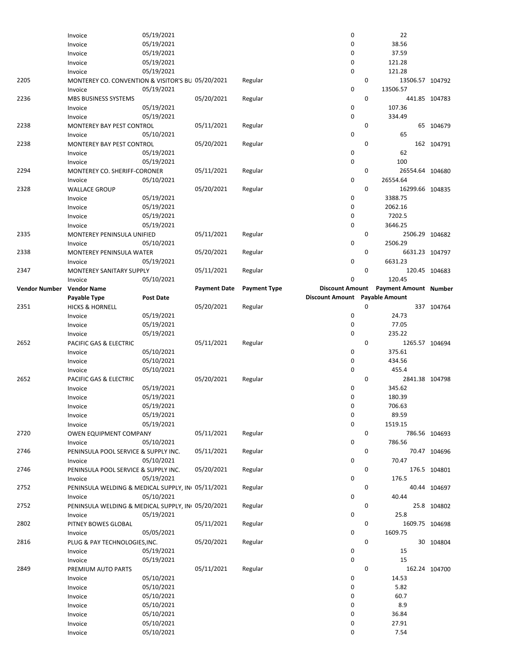|                      | Invoice                                           | 05/19/2021       |                     |                     | 0                              |   | 22                           |               |
|----------------------|---------------------------------------------------|------------------|---------------------|---------------------|--------------------------------|---|------------------------------|---------------|
|                      | Invoice                                           | 05/19/2021       |                     |                     | 0                              |   | 38.56                        |               |
|                      | Invoice                                           | 05/19/2021       |                     |                     | 0                              |   | 37.59                        |               |
|                      | Invoice                                           | 05/19/2021       |                     |                     | 0                              |   | 121.28                       |               |
|                      |                                                   | 05/19/2021       |                     |                     | $\mathbf 0$                    |   | 121.28                       |               |
|                      | Invoice                                           |                  |                     |                     |                                |   |                              |               |
| 2205                 | MONTEREY CO. CONVENTION & VISITOR'S BU 05/20/2021 |                  |                     | Regular             |                                | 0 | 13506.57 104792              |               |
|                      | Invoice                                           | 05/19/2021       |                     |                     | 0                              |   | 13506.57                     |               |
| 2236                 | MBS BUSINESS SYSTEMS                              |                  | 05/20/2021          | Regular             |                                | 0 |                              | 441.85 104783 |
|                      | Invoice                                           | 05/19/2021       |                     |                     | $\mathbf 0$                    |   | 107.36                       |               |
|                      | Invoice                                           | 05/19/2021       |                     |                     | $\mathbf 0$                    |   | 334.49                       |               |
| 2238                 | MONTEREY BAY PEST CONTROL                         |                  | 05/11/2021          | Regular             |                                | 0 |                              | 65 104679     |
|                      |                                                   |                  |                     |                     |                                |   |                              |               |
|                      | Invoice                                           | 05/10/2021       |                     |                     | 0                              |   | 65                           |               |
| 2238                 | MONTEREY BAY PEST CONTROL                         |                  | 05/20/2021          | Regular             |                                | 0 |                              | 162 104791    |
|                      | Invoice                                           | 05/19/2021       |                     |                     | 0                              |   | 62                           |               |
|                      | Invoice                                           | 05/19/2021       |                     |                     | $\mathbf 0$                    |   | 100                          |               |
| 2294                 | MONTEREY CO. SHERIFF-CORONER                      |                  | 05/11/2021          | Regular             |                                | 0 | 26554.64 104680              |               |
|                      |                                                   | 05/10/2021       |                     |                     | $\mathbf 0$                    |   | 26554.64                     |               |
|                      | Invoice                                           |                  |                     |                     |                                |   |                              |               |
| 2328                 | <b>WALLACE GROUP</b>                              |                  | 05/20/2021          | Regular             |                                | 0 | 16299.66 104835              |               |
|                      | Invoice                                           | 05/19/2021       |                     |                     | 0                              |   | 3388.75                      |               |
|                      | Invoice                                           | 05/19/2021       |                     |                     | 0                              |   | 2062.16                      |               |
|                      | Invoice                                           | 05/19/2021       |                     |                     | 0                              |   | 7202.5                       |               |
|                      | Invoice                                           | 05/19/2021       |                     |                     | $\mathbf 0$                    |   | 3646.25                      |               |
|                      |                                                   |                  |                     |                     |                                | 0 |                              |               |
| 2335                 | MONTEREY PENINSULA UNIFIED                        |                  | 05/11/2021          | Regular             |                                |   | 2506.29 104682               |               |
|                      | Invoice                                           | 05/10/2021       |                     |                     | 0                              |   | 2506.29                      |               |
| 2338                 | MONTEREY PENINSULA WATER                          |                  | 05/20/2021          | Regular             |                                | 0 | 6631.23 104797               |               |
|                      | Invoice                                           | 05/19/2021       |                     |                     | $\mathbf 0$                    |   | 6631.23                      |               |
| 2347                 | MONTEREY SANITARY SUPPLY                          |                  | 05/11/2021          | Regular             |                                | 0 |                              | 120.45 104683 |
|                      | Invoice                                           | 05/10/2021       |                     |                     | 0                              |   | 120.45                       |               |
|                      |                                                   |                  |                     |                     |                                |   |                              |               |
| <b>Vendor Number</b> | <b>Vendor Name</b>                                |                  | <b>Payment Date</b> | <b>Payment Type</b> | <b>Discount Amount</b>         |   | <b>Payment Amount Number</b> |               |
|                      | Payable Type                                      | <b>Post Date</b> |                     |                     | Discount Amount Payable Amount |   |                              |               |
| 2351                 | <b>HICKS &amp; HORNELL</b>                        |                  | 05/20/2021          | Regular             |                                | 0 |                              | 337 104764    |
|                      | Invoice                                           | 05/19/2021       |                     |                     | 0                              |   | 24.73                        |               |
|                      | Invoice                                           | 05/19/2021       |                     |                     | $\mathbf 0$                    |   | 77.05                        |               |
|                      |                                                   |                  |                     |                     |                                |   |                              |               |
|                      |                                                   |                  |                     |                     |                                |   |                              |               |
|                      | Invoice                                           | 05/19/2021       |                     |                     | 0                              |   | 235.22                       |               |
| 2652                 | PACIFIC GAS & ELECTRIC                            |                  | 05/11/2021          | Regular             |                                | 0 | 1265.57 104694               |               |
|                      | Invoice                                           | 05/10/2021       |                     |                     | 0                              |   | 375.61                       |               |
|                      | Invoice                                           | 05/10/2021       |                     |                     | 0                              |   | 434.56                       |               |
|                      | Invoice                                           | 05/10/2021       |                     |                     | $\mathbf 0$                    |   | 455.4                        |               |
|                      |                                                   |                  |                     |                     |                                |   |                              |               |
| 2652                 | PACIFIC GAS & ELECTRIC                            |                  | 05/20/2021          | Regular             |                                | 0 | 2841.38 104798               |               |
|                      | Invoice                                           | 05/19/2021       |                     |                     | 0                              |   | 345.62                       |               |
|                      | Invoice                                           | 05/19/2021       |                     |                     | 0                              |   | 180.39                       |               |
|                      | Invoice                                           | 05/19/2021       |                     |                     | $\mathbf 0$                    |   | 706.63                       |               |
|                      | Invoice                                           | 05/19/2021       |                     |                     | 0                              |   | 89.59                        |               |
|                      |                                                   |                  |                     |                     | $\pmb{0}$                      |   | 1519.15                      |               |
|                      | Invoice                                           | 05/19/2021       |                     |                     |                                |   |                              |               |
| 2720                 | OWEN EQUIPMENT COMPANY                            |                  | 05/11/2021          | Regular             |                                | 0 |                              | 786.56 104693 |
|                      | Invoice                                           | 05/10/2021       |                     |                     | 0                              |   | 786.56                       |               |
| 2746                 | PENINSULA POOL SERVICE & SUPPLY INC.              |                  | 05/11/2021          | Regular             |                                | 0 |                              | 70.47 104696  |
|                      | Invoice                                           | 05/10/2021       |                     |                     | 0                              |   | 70.47                        |               |
| 2746                 | PENINSULA POOL SERVICE & SUPPLY INC.              |                  | 05/20/2021          | Regular             |                                | 0 |                              |               |
|                      |                                                   |                  |                     |                     |                                |   |                              | 176.5 104801  |
|                      | Invoice                                           | 05/19/2021       |                     |                     | $\mathbf 0$                    |   | 176.5                        |               |
| 2752                 | PENINSULA WELDING & MEDICAL SUPPLY, IN 05/11/2021 |                  |                     | Regular             |                                | 0 |                              | 40.44 104697  |
|                      | Invoice                                           | 05/10/2021       |                     |                     | 0                              |   | 40.44                        |               |
| 2752                 | PENINSULA WELDING & MEDICAL SUPPLY, IN 05/20/2021 |                  |                     | Regular             |                                | 0 |                              | 25.8 104802   |
|                      | Invoice                                           | 05/19/2021       |                     |                     | 0                              |   | 25.8                         |               |
| 2802                 |                                                   |                  |                     |                     |                                | 0 |                              |               |
|                      | PITNEY BOWES GLOBAL                               |                  | 05/11/2021          | Regular             |                                |   | 1609.75 104698               |               |
|                      | Invoice                                           | 05/05/2021       |                     |                     | 0                              |   | 1609.75                      |               |
| 2816                 | PLUG & PAY TECHNOLOGIES, INC.                     |                  | 05/20/2021          | Regular             |                                | 0 |                              | 30 104804     |
|                      | Invoice                                           | 05/19/2021       |                     |                     | 0                              |   | 15                           |               |
|                      | Invoice                                           | 05/19/2021       |                     |                     | $\mathbf 0$                    |   | 15                           |               |
| 2849                 | PREMIUM AUTO PARTS                                |                  | 05/11/2021          | Regular             |                                | 0 |                              | 162.24 104700 |
|                      | Invoice                                           | 05/10/2021       |                     |                     | 0                              |   | 14.53                        |               |
|                      |                                                   |                  |                     |                     |                                |   |                              |               |
|                      | Invoice                                           | 05/10/2021       |                     |                     | 0                              |   | 5.82                         |               |
|                      | Invoice                                           | 05/10/2021       |                     |                     | 0                              |   | 60.7                         |               |
|                      | Invoice                                           | 05/10/2021       |                     |                     | 0                              |   | 8.9                          |               |
|                      | Invoice                                           | 05/10/2021       |                     |                     | 0                              |   | 36.84                        |               |
|                      | Invoice                                           | 05/10/2021       |                     |                     | 0                              |   | 27.91                        |               |
|                      | Invoice                                           | 05/10/2021       |                     |                     | 0                              |   | 7.54                         |               |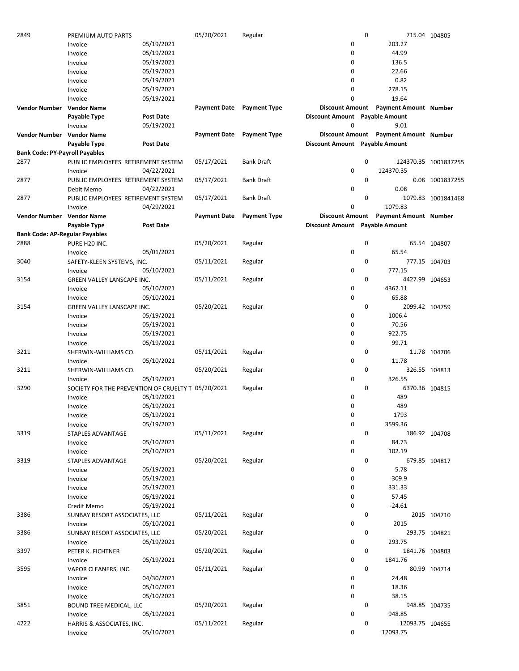| 2849                                  | PREMIUM AUTO PARTS                                 |                  | 05/20/2021          | Regular                   |                                | $\mathbf 0$                           | 715.04 104805        |
|---------------------------------------|----------------------------------------------------|------------------|---------------------|---------------------------|--------------------------------|---------------------------------------|----------------------|
|                                       | Invoice                                            | 05/19/2021       |                     |                           | 0                              | 203.27                                |                      |
|                                       | Invoice                                            | 05/19/2021       |                     |                           | 0                              | 44.99                                 |                      |
|                                       | Invoice                                            | 05/19/2021       |                     |                           | 0                              | 136.5                                 |                      |
|                                       |                                                    |                  |                     |                           |                                |                                       |                      |
|                                       | Invoice                                            | 05/19/2021       |                     |                           | 0                              | 22.66                                 |                      |
|                                       | Invoice                                            | 05/19/2021       |                     |                           | 0                              | 0.82                                  |                      |
|                                       | Invoice                                            | 05/19/2021       |                     |                           | 0                              | 278.15                                |                      |
|                                       | Invoice                                            | 05/19/2021       |                     |                           | 0                              | 19.64                                 |                      |
| Vendor Number Vendor Name             |                                                    |                  |                     | Payment Date Payment Type |                                | Discount Amount Payment Amount Number |                      |
|                                       | Payable Type                                       | <b>Post Date</b> |                     |                           | Discount Amount Payable Amount |                                       |                      |
|                                       |                                                    | 05/19/2021       |                     |                           | 0                              | 9.01                                  |                      |
|                                       | Invoice                                            |                  |                     |                           |                                |                                       |                      |
| Vendor Number Vendor Name             |                                                    |                  | <b>Payment Date</b> | <b>Payment Type</b>       |                                | Discount Amount Payment Amount Number |                      |
|                                       | Payable Type                                       | <b>Post Date</b> |                     |                           | Discount Amount Payable Amount |                                       |                      |
| <b>Bank Code: PY-Payroll Payables</b> |                                                    |                  |                     |                           |                                |                                       |                      |
| 2877                                  | PUBLIC EMPLOYEES' RETIREMENT SYSTEM                |                  | 05/17/2021          | <b>Bank Draft</b>         |                                | 0                                     | 124370.35 1001837255 |
|                                       | Invoice                                            | 04/22/2021       |                     |                           | 0                              | 124370.35                             |                      |
| 2877                                  | PUBLIC EMPLOYEES' RETIREMENT SYSTEM                |                  | 05/17/2021          | <b>Bank Draft</b>         |                                | 0                                     | 0.08 1001837255      |
|                                       | Debit Memo                                         | 04/22/2021       |                     |                           | 0                              | 0.08                                  |                      |
|                                       |                                                    |                  |                     |                           |                                | 0                                     |                      |
| 2877                                  | PUBLIC EMPLOYEES' RETIREMENT SYSTEM                |                  | 05/17/2021          | <b>Bank Draft</b>         |                                |                                       | 1079.83 1001841468   |
|                                       | Invoice                                            | 04/29/2021       |                     |                           | 0                              | 1079.83                               |                      |
| Vendor Number Vendor Name             |                                                    |                  | <b>Payment Date</b> | <b>Payment Type</b>       |                                | Discount Amount Payment Amount Number |                      |
|                                       | Payable Type                                       | <b>Post Date</b> |                     |                           | Discount Amount Payable Amount |                                       |                      |
| <b>Bank Code: AP-Regular Payables</b> |                                                    |                  |                     |                           |                                |                                       |                      |
| 2888                                  | PURE H20 INC.                                      |                  | 05/20/2021          | Regular                   |                                | 0                                     | 65.54 104807         |
|                                       |                                                    | 05/01/2021       |                     |                           | 0                              | 65.54                                 |                      |
|                                       | Invoice                                            |                  |                     |                           |                                |                                       |                      |
| 3040                                  | SAFETY-KLEEN SYSTEMS, INC.                         |                  | 05/11/2021          | Regular                   |                                | 0                                     | 777.15 104703        |
|                                       | Invoice                                            | 05/10/2021       |                     |                           | 0                              | 777.15                                |                      |
| 3154                                  | GREEN VALLEY LANSCAPE INC.                         |                  | 05/11/2021          | Regular                   |                                | 0<br>4427.99 104653                   |                      |
|                                       | Invoice                                            | 05/10/2021       |                     |                           | 0                              | 4362.11                               |                      |
|                                       | Invoice                                            | 05/10/2021       |                     |                           | 0                              | 65.88                                 |                      |
| 3154                                  | GREEN VALLEY LANSCAPE INC.                         |                  | 05/20/2021          | Regular                   |                                | 0<br>2099.42 104759                   |                      |
|                                       |                                                    | 05/19/2021       |                     |                           | 0                              | 1006.4                                |                      |
|                                       | Invoice                                            |                  |                     |                           |                                |                                       |                      |
|                                       | Invoice                                            | 05/19/2021       |                     |                           | 0                              | 70.56                                 |                      |
|                                       | Invoice                                            | 05/19/2021       |                     |                           | $\mathbf 0$                    | 922.75                                |                      |
|                                       | Invoice                                            | 05/19/2021       |                     |                           | 0                              | 99.71                                 |                      |
| 3211                                  | SHERWIN-WILLIAMS CO.                               |                  | 05/11/2021          | Regular                   |                                | 0                                     | 11.78 104706         |
|                                       | Invoice                                            | 05/10/2021       |                     |                           | $\mathbf 0$                    | 11.78                                 |                      |
| 3211                                  | SHERWIN-WILLIAMS CO.                               |                  | 05/20/2021          | Regular                   |                                | 0                                     | 326.55 104813        |
|                                       |                                                    |                  |                     |                           |                                |                                       |                      |
|                                       | Invoice                                            | 05/19/2021       |                     |                           | 0                              | 326.55                                |                      |
| 3290                                  | SOCIETY FOR THE PREVENTION OF CRUELTY T 05/20/2021 |                  |                     | Regular                   |                                | 0<br>6370.36 104815                   |                      |
|                                       | Invoice                                            | 05/19/2021       |                     |                           | 0                              | 489                                   |                      |
|                                       | Invoice                                            | 05/19/2021       |                     |                           | 0                              | 489                                   |                      |
|                                       | Invoice                                            | 05/19/2021       |                     |                           | 0                              | 1793                                  |                      |
|                                       | Invoice                                            | 05/19/2021       |                     |                           | $\mathbf 0$                    | 3599.36                               |                      |
| 3319                                  | STAPLES ADVANTAGE                                  |                  | 05/11/2021          | Regular                   |                                | 0                                     | 186.92 104708        |
|                                       |                                                    |                  |                     |                           |                                |                                       |                      |
|                                       | Invoice                                            | 05/10/2021       |                     |                           | 0                              | 84.73                                 |                      |
|                                       | Invoice                                            | 05/10/2021       |                     |                           | 0                              | 102.19                                |                      |
| 3319                                  | STAPLES ADVANTAGE                                  |                  | 05/20/2021          | Regular                   |                                | 0                                     | 679.85 104817        |
|                                       | Invoice                                            | 05/19/2021       |                     |                           | 0                              | 5.78                                  |                      |
|                                       | Invoice                                            | 05/19/2021       |                     |                           | 0                              | 309.9                                 |                      |
|                                       | Invoice                                            | 05/19/2021       |                     |                           | 0                              | 331.33                                |                      |
|                                       | Invoice                                            | 05/19/2021       |                     |                           | 0                              | 57.45                                 |                      |
|                                       |                                                    | 05/19/2021       |                     |                           | $\mathbf 0$                    | $-24.61$                              |                      |
|                                       | Credit Memo                                        |                  |                     |                           |                                |                                       |                      |
| 3386                                  | SUNBAY RESORT ASSOCIATES, LLC                      |                  | 05/11/2021          | Regular                   |                                | 0                                     | 2015 104710          |
|                                       | Invoice                                            | 05/10/2021       |                     |                           | 0                              | 2015                                  |                      |
| 3386                                  | SUNBAY RESORT ASSOCIATES, LLC                      |                  | 05/20/2021          | Regular                   |                                | 0                                     | 293.75 104821        |
|                                       | Invoice                                            | 05/19/2021       |                     |                           | 0                              | 293.75                                |                      |
| 3397                                  | PETER K. FICHTNER                                  |                  | 05/20/2021          | Regular                   |                                | 0<br>1841.76 104803                   |                      |
|                                       | Invoice                                            | 05/19/2021       |                     |                           | 0                              | 1841.76                               |                      |
|                                       |                                                    |                  |                     |                           |                                | 0                                     |                      |
| 3595                                  | VAPOR CLEANERS, INC.                               |                  | 05/11/2021          | Regular                   |                                |                                       | 80.99 104714         |
|                                       | Invoice                                            | 04/30/2021       |                     |                           | 0                              | 24.48                                 |                      |
|                                       | Invoice                                            | 05/10/2021       |                     |                           | 0                              | 18.36                                 |                      |
|                                       | Invoice                                            | 05/10/2021       |                     |                           | 0                              | 38.15                                 |                      |
| 3851                                  | <b>BOUND TREE MEDICAL, LLC</b>                     |                  | 05/20/2021          | Regular                   |                                | 0                                     | 948.85 104735        |
|                                       | Invoice                                            | 05/19/2021       |                     |                           | 0                              | 948.85                                |                      |
| 4222                                  | HARRIS & ASSOCIATES, INC.                          |                  | 05/11/2021          | Regular                   |                                | 0<br>12093.75 104655                  |                      |
|                                       | Invoice                                            | 05/10/2021       |                     |                           | 0                              | 12093.75                              |                      |
|                                       |                                                    |                  |                     |                           |                                |                                       |                      |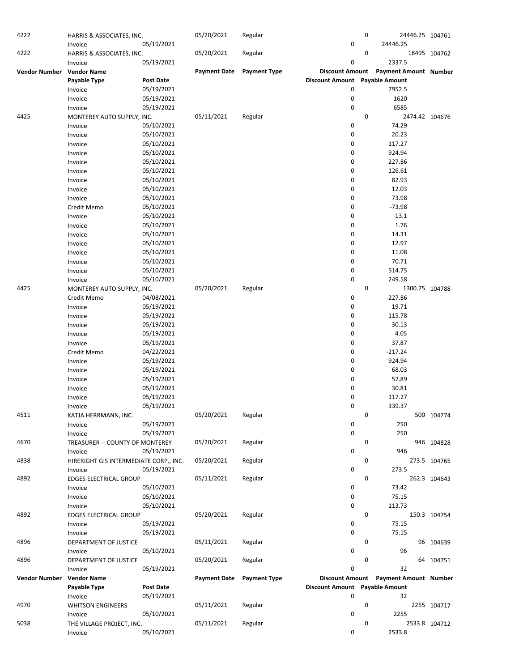| 4222                 | HARRIS & ASSOCIATES, INC.              |                  | 05/20/2021          | Regular             |                                | 0 |                                       | 24446.25 104761 |
|----------------------|----------------------------------------|------------------|---------------------|---------------------|--------------------------------|---|---------------------------------------|-----------------|
|                      | Invoice                                | 05/19/2021       |                     |                     | 0                              |   | 24446.25                              |                 |
| 4222                 | HARRIS & ASSOCIATES, INC.              |                  | 05/20/2021          | Regular             |                                | 0 |                                       | 18495 104762    |
|                      | Invoice                                | 05/19/2021       |                     |                     | 0                              |   | 2337.5                                |                 |
|                      | <b>Vendor Name</b>                     |                  | <b>Payment Date</b> | <b>Payment Type</b> | <b>Discount Amount</b>         |   | Payment Amount Number                 |                 |
| Vendor Number        |                                        |                  |                     |                     |                                |   |                                       |                 |
|                      | Payable Type                           | <b>Post Date</b> |                     |                     | <b>Discount Amount</b>         |   | <b>Payable Amount</b>                 |                 |
|                      | Invoice                                | 05/19/2021       |                     |                     | 0                              |   | 7952.5                                |                 |
|                      | Invoice                                | 05/19/2021       |                     |                     | 0                              |   | 1620                                  |                 |
|                      | Invoice                                | 05/19/2021       |                     |                     | 0                              |   | 6585                                  |                 |
| 4425                 | MONTEREY AUTO SUPPLY, INC.             |                  | 05/11/2021          | Regular             |                                | 0 |                                       | 2474.42 104676  |
|                      | Invoice                                | 05/10/2021       |                     |                     | 0                              |   | 74.29                                 |                 |
|                      |                                        |                  |                     |                     |                                |   |                                       |                 |
|                      | Invoice                                | 05/10/2021       |                     |                     | 0                              |   | 20.23                                 |                 |
|                      | Invoice                                | 05/10/2021       |                     |                     | 0                              |   | 117.27                                |                 |
|                      | Invoice                                | 05/10/2021       |                     |                     | 0                              |   | 924.94                                |                 |
|                      | Invoice                                | 05/10/2021       |                     |                     | 0                              |   | 227.86                                |                 |
|                      | Invoice                                | 05/10/2021       |                     |                     | 0                              |   | 126.61                                |                 |
|                      | Invoice                                | 05/10/2021       |                     |                     | 0                              |   | 82.93                                 |                 |
|                      |                                        |                  |                     |                     |                                |   |                                       |                 |
|                      | Invoice                                | 05/10/2021       |                     |                     | 0                              |   | 12.03                                 |                 |
|                      | Invoice                                | 05/10/2021       |                     |                     | 0                              |   | 73.98                                 |                 |
|                      | Credit Memo                            | 05/10/2021       |                     |                     | 0                              |   | $-73.98$                              |                 |
|                      | Invoice                                | 05/10/2021       |                     |                     | 0                              |   | 13.1                                  |                 |
|                      | Invoice                                | 05/10/2021       |                     |                     | 0                              |   | 1.76                                  |                 |
|                      | Invoice                                | 05/10/2021       |                     |                     | 0                              |   | 14.31                                 |                 |
|                      |                                        |                  |                     |                     |                                |   |                                       |                 |
|                      | Invoice                                | 05/10/2021       |                     |                     | 0                              |   | 12.97                                 |                 |
|                      | Invoice                                | 05/10/2021       |                     |                     | 0                              |   | 11.08                                 |                 |
|                      | Invoice                                | 05/10/2021       |                     |                     | 0                              |   | 70.71                                 |                 |
|                      | Invoice                                | 05/10/2021       |                     |                     | 0                              |   | 514.75                                |                 |
|                      | Invoice                                | 05/10/2021       |                     |                     | 0                              |   | 249.58                                |                 |
| 4425                 | MONTEREY AUTO SUPPLY, INC.             |                  | 05/20/2021          | Regular             |                                | 0 |                                       | 1300.75 104788  |
|                      |                                        |                  |                     |                     |                                |   |                                       |                 |
|                      | Credit Memo                            | 04/08/2021       |                     |                     | 0                              |   | $-227.86$                             |                 |
|                      | Invoice                                | 05/19/2021       |                     |                     | 0                              |   | 19.71                                 |                 |
|                      | Invoice                                | 05/19/2021       |                     |                     | 0                              |   | 115.78                                |                 |
|                      | Invoice                                | 05/19/2021       |                     |                     | 0                              |   | 30.13                                 |                 |
|                      | Invoice                                | 05/19/2021       |                     |                     | 0                              |   | 4.05                                  |                 |
|                      |                                        |                  |                     |                     | 0                              |   |                                       |                 |
|                      | Invoice                                | 05/19/2021       |                     |                     |                                |   | 37.87                                 |                 |
|                      | Credit Memo                            | 04/22/2021       |                     |                     | 0                              |   | $-217.24$                             |                 |
|                      | Invoice                                | 05/19/2021       |                     |                     | 0                              |   | 924.94                                |                 |
|                      | Invoice                                | 05/19/2021       |                     |                     | 0                              |   | 68.03                                 |                 |
|                      | Invoice                                | 05/19/2021       |                     |                     | 0                              |   | 57.89                                 |                 |
|                      | Invoice                                | 05/19/2021       |                     |                     | 0                              |   | 30.81                                 |                 |
|                      |                                        |                  |                     |                     |                                |   |                                       |                 |
|                      | Invoice                                | 05/19/2021       |                     |                     | 0                              |   | 117.27                                |                 |
|                      | Invoice                                | 05/19/2021       |                     |                     | 0                              |   | 339.37                                |                 |
| 4511                 | KATJA HERRMANN, INC.                   |                  | 05/20/2021          | Regular             |                                | 0 |                                       | 500 104774      |
|                      | Invoice                                | 05/19/2021       |                     |                     | 0                              |   | 250                                   |                 |
|                      | Invoice                                | 05/19/2021       |                     |                     | 0                              |   | 250                                   |                 |
| 4670                 | TREASURER -- COUNTY OF MONTEREY        |                  | 05/20/2021          | Regular             |                                | 0 |                                       | 946 104828      |
|                      |                                        |                  |                     |                     |                                |   |                                       |                 |
|                      | Invoice                                | 05/19/2021       |                     |                     | 0                              |   | 946                                   |                 |
| 4838                 | HIRERIGHT GIS INTERMEDIATE CORP., INC. |                  | 05/20/2021          | Regular             |                                | 0 |                                       | 273.5 104765    |
|                      | Invoice                                | 05/19/2021       |                     |                     | 0                              |   | 273.5                                 |                 |
| 4892                 | <b>EDGES ELECTRICAL GROUP</b>          |                  | 05/11/2021          | Regular             |                                | 0 |                                       | 262.3 104643    |
|                      | Invoice                                | 05/10/2021       |                     |                     | 0                              |   | 73.42                                 |                 |
|                      | Invoice                                | 05/10/2021       |                     |                     | 0                              |   | 75.15                                 |                 |
|                      |                                        |                  |                     |                     |                                |   |                                       |                 |
|                      | Invoice                                | 05/10/2021       |                     |                     | 0                              |   | 113.73                                |                 |
| 4892                 | <b>EDGES ELECTRICAL GROUP</b>          |                  | 05/20/2021          | Regular             |                                | 0 |                                       | 150.3 104754    |
|                      | Invoice                                | 05/19/2021       |                     |                     | 0                              |   | 75.15                                 |                 |
|                      | Invoice                                | 05/19/2021       |                     |                     | 0                              |   | 75.15                                 |                 |
| 4896                 | DEPARTMENT OF JUSTICE                  |                  | 05/11/2021          | Regular             |                                | 0 |                                       | 96 104639       |
|                      |                                        |                  |                     |                     | 0                              |   | 96                                    |                 |
|                      | Invoice                                | 05/10/2021       |                     |                     |                                |   |                                       |                 |
| 4896                 | DEPARTMENT OF JUSTICE                  |                  | 05/20/2021          | Regular             |                                | 0 |                                       | 64 104751       |
|                      | Invoice                                | 05/19/2021       |                     |                     | 0                              |   | 32                                    |                 |
| <b>Vendor Number</b> | <b>Vendor Name</b>                     |                  | <b>Payment Date</b> | <b>Payment Type</b> |                                |   | Discount Amount Payment Amount Number |                 |
|                      | Payable Type                           | Post Date        |                     |                     | Discount Amount Payable Amount |   |                                       |                 |
|                      | Invoice                                | 05/19/2021       |                     |                     | 0                              |   | 32                                    |                 |
|                      |                                        |                  |                     |                     |                                | 0 |                                       |                 |
| 4970                 | <b>WHITSON ENGINEERS</b>               |                  | 05/11/2021          | Regular             |                                |   |                                       | 2255 104717     |
|                      | Invoice                                | 05/10/2021       |                     |                     | 0                              |   | 2255                                  |                 |
| 5038                 | THE VILLAGE PROJECT, INC.              |                  | 05/11/2021          | Regular             |                                | 0 |                                       | 2533.8 104712   |
|                      | Invoice                                | 05/10/2021       |                     |                     | 0                              |   | 2533.8                                |                 |
|                      |                                        |                  |                     |                     |                                |   |                                       |                 |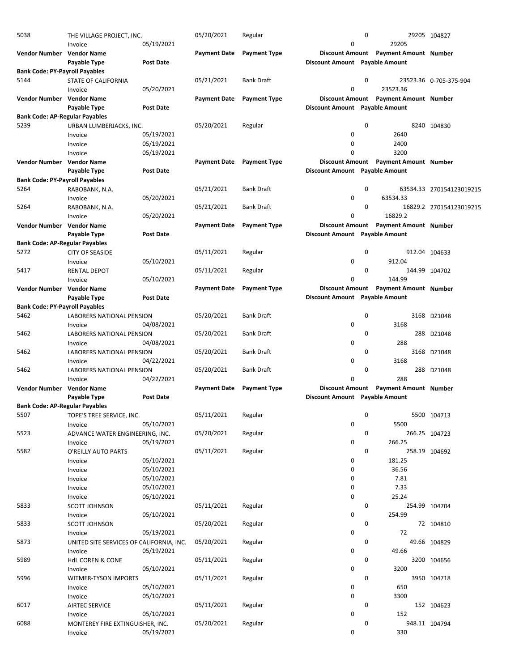| 5038                                  | THE VILLAGE PROJECT, INC.                |                  | 05/20/2021          | Regular             |                                | 0           |                                       | 29205 104827             |
|---------------------------------------|------------------------------------------|------------------|---------------------|---------------------|--------------------------------|-------------|---------------------------------------|--------------------------|
|                                       | Invoice                                  | 05/19/2021       |                     |                     | 0                              |             | 29205                                 |                          |
| Vendor Number Vendor Name             |                                          |                  | <b>Payment Date</b> | <b>Payment Type</b> |                                |             | Discount Amount Payment Amount Number |                          |
|                                       | Payable Type                             | <b>Post Date</b> |                     |                     | Discount Amount Payable Amount |             |                                       |                          |
| <b>Bank Code: PY-Payroll Payables</b> |                                          |                  |                     |                     |                                |             |                                       |                          |
|                                       |                                          |                  |                     |                     |                                | 0           |                                       |                          |
| 5144                                  | STATE OF CALIFORNIA                      |                  | 05/21/2021          | <b>Bank Draft</b>   |                                |             |                                       | 23523.36 0-705-375-904   |
|                                       | Invoice                                  | 05/20/2021       |                     |                     | 0                              |             | 23523.36                              |                          |
| Vendor Number Vendor Name             |                                          |                  | <b>Payment Date</b> | <b>Payment Type</b> | <b>Discount Amount</b>         |             | <b>Payment Amount Number</b>          |                          |
|                                       | Payable Type                             | Post Date        |                     |                     | Discount Amount Payable Amount |             |                                       |                          |
| <b>Bank Code: AP-Regular Payables</b> |                                          |                  |                     |                     |                                |             |                                       |                          |
| 5239                                  | URBAN LUMBERJACKS, INC.                  |                  | 05/20/2021          | Regular             |                                | $\mathbf 0$ |                                       | 8240 104830              |
|                                       | Invoice                                  | 05/19/2021       |                     |                     | 0                              |             | 2640                                  |                          |
|                                       | Invoice                                  | 05/19/2021       |                     |                     | $\mathbf 0$                    |             | 2400                                  |                          |
|                                       | Invoice                                  | 05/19/2021       |                     |                     | 0                              |             | 3200                                  |                          |
| Vendor Number Vendor Name             |                                          |                  | <b>Payment Date</b> | <b>Payment Type</b> | <b>Discount Amount</b>         |             | <b>Payment Amount Number</b>          |                          |
|                                       | Payable Type                             | <b>Post Date</b> |                     |                     | Discount Amount Payable Amount |             |                                       |                          |
|                                       |                                          |                  |                     |                     |                                |             |                                       |                          |
| <b>Bank Code: PY-Payroll Payables</b> |                                          |                  |                     |                     |                                |             |                                       |                          |
| 5264                                  | RABOBANK, N.A.                           |                  | 05/21/2021          | <b>Bank Draft</b>   |                                | 0           |                                       | 63534.33 270154123019215 |
|                                       | Invoice                                  | 05/20/2021       |                     |                     | $\mathbf 0$                    |             | 63534.33                              |                          |
| 5264                                  | RABOBANK, N.A.                           |                  | 05/21/2021          | <b>Bank Draft</b>   |                                | 0           |                                       | 16829.2 270154123019215  |
|                                       | Invoice                                  | 05/20/2021       |                     |                     | 0                              |             | 16829.2                               |                          |
| Vendor Number Vendor Name             |                                          |                  | <b>Payment Date</b> | <b>Payment Type</b> |                                |             | Discount Amount Payment Amount Number |                          |
|                                       | Payable Type                             | <b>Post Date</b> |                     |                     | Discount Amount Payable Amount |             |                                       |                          |
| <b>Bank Code: AP-Regular Payables</b> |                                          |                  |                     |                     |                                |             |                                       |                          |
|                                       |                                          |                  |                     |                     |                                |             |                                       |                          |
| 5272                                  | <b>CITY OF SEASIDE</b>                   |                  | 05/11/2021          | Regular             |                                | 0           |                                       | 912.04 104633            |
|                                       | Invoice                                  | 05/10/2021       |                     |                     | $\mathbf 0$                    |             | 912.04                                |                          |
| 5417                                  | <b>RENTAL DEPOT</b>                      |                  | 05/11/2021          | Regular             |                                | 0           |                                       | 144.99 104702            |
|                                       | Invoice                                  | 05/10/2021       |                     |                     | $\mathbf 0$                    |             | 144.99                                |                          |
| Vendor Number Vendor Name             |                                          |                  | <b>Payment Date</b> | <b>Payment Type</b> | <b>Discount Amount</b>         |             | <b>Payment Amount Number</b>          |                          |
|                                       | Payable Type                             | <b>Post Date</b> |                     |                     | Discount Amount Payable Amount |             |                                       |                          |
| <b>Bank Code: PY-Payroll Payables</b> |                                          |                  |                     |                     |                                |             |                                       |                          |
| 5462                                  | LABORERS NATIONAL PENSION                |                  | 05/20/2021          | <b>Bank Draft</b>   |                                | 0           |                                       | 3168 DZ1048              |
|                                       | Invoice                                  | 04/08/2021       |                     |                     | 0                              |             | 3168                                  |                          |
|                                       |                                          |                  |                     |                     |                                | 0           |                                       |                          |
| 5462                                  | LABORERS NATIONAL PENSION                |                  | 05/20/2021          | <b>Bank Draft</b>   |                                |             | 288                                   | DZ1048                   |
|                                       | Invoice                                  | 04/08/2021       |                     |                     | $\mathbf 0$                    |             | 288                                   |                          |
| 5462                                  | LABORERS NATIONAL PENSION                |                  | 05/20/2021          | <b>Bank Draft</b>   |                                | 0           |                                       | 3168 DZ1048              |
|                                       | Invoice                                  | 04/22/2021       |                     |                     | $\mathbf 0$                    |             | 3168                                  |                          |
| 5462                                  | LABORERS NATIONAL PENSION                |                  | 05/20/2021          | <b>Bank Draft</b>   |                                | 0           |                                       | 288 DZ1048               |
|                                       | Invoice                                  | 04/22/2021       |                     |                     | 0                              |             | 288                                   |                          |
| Vendor Number Vendor Name             |                                          |                  | <b>Payment Date</b> | <b>Payment Type</b> |                                |             | Discount Amount Payment Amount Number |                          |
|                                       | Payable Type                             | <b>Post Date</b> |                     |                     | Discount Amount Payable Amount |             |                                       |                          |
| <b>Bank Code: AP-Regular Payables</b> |                                          |                  |                     |                     |                                |             |                                       |                          |
|                                       |                                          |                  |                     |                     |                                | 0           |                                       |                          |
| 5507                                  | TOPE'S TREE SERVICE, INC.                |                  | 05/11/2021          | Regular             |                                |             |                                       | 5500 104713              |
|                                       | Invoice                                  | 05/10/2021       |                     |                     | 0                              |             | 5500                                  |                          |
| 5523                                  | ADVANCE WATER ENGINEERING, INC.          |                  | 05/20/2021          | Regular             |                                | 0           |                                       | 266.25 104723            |
|                                       | Invoice                                  | 05/19/2021       |                     |                     | 0                              |             | 266.25                                |                          |
| 5582                                  | O'REILLY AUTO PARTS                      |                  | 05/11/2021          | Regular             |                                | 0           |                                       | 258.19 104692            |
|                                       | Invoice                                  | 05/10/2021       |                     |                     | 0                              |             | 181.25                                |                          |
|                                       | Invoice                                  | 05/10/2021       |                     |                     | 0                              |             | 36.56                                 |                          |
|                                       | Invoice                                  | 05/10/2021       |                     |                     | 0                              |             | 7.81                                  |                          |
|                                       | Invoice                                  | 05/10/2021       |                     |                     | 0                              |             | 7.33                                  |                          |
|                                       | Invoice                                  | 05/10/2021       |                     |                     | 0                              |             | 25.24                                 |                          |
|                                       |                                          |                  |                     |                     |                                |             |                                       |                          |
| 5833                                  | SCOTT JOHNSON                            |                  | 05/11/2021          | Regular             |                                | 0           |                                       | 254.99 104704            |
|                                       | Invoice                                  | 05/10/2021       |                     |                     | $\mathbf 0$                    |             | 254.99                                |                          |
| 5833                                  | <b>SCOTT JOHNSON</b>                     |                  | 05/20/2021          | Regular             |                                | 0           |                                       | 72 104810                |
|                                       | Invoice                                  | 05/19/2021       |                     |                     | 0                              |             | 72                                    |                          |
| 5873                                  | UNITED SITE SERVICES OF CALIFORNIA, INC. |                  | 05/20/2021          | Regular             |                                | 0           |                                       | 49.66 104829             |
|                                       | Invoice                                  | 05/19/2021       |                     |                     | 0                              |             | 49.66                                 |                          |
| 5989                                  | <b>HdL COREN &amp; CONE</b>              |                  | 05/11/2021          | Regular             |                                | 0           |                                       | 3200 104656              |
|                                       | Invoice                                  | 05/10/2021       |                     |                     | 0                              |             | 3200                                  |                          |
| 5996                                  |                                          |                  | 05/11/2021          | Regular             |                                | 0           |                                       | 3950 104718              |
|                                       | WITMER-TYSON IMPORTS                     |                  |                     |                     |                                |             |                                       |                          |
|                                       | Invoice                                  | 05/10/2021       |                     |                     | 0                              |             | 650                                   |                          |
|                                       | Invoice                                  | 05/10/2021       |                     |                     | 0                              |             | 3300                                  |                          |
| 6017                                  | AIRTEC SERVICE                           |                  | 05/11/2021          | Regular             |                                | 0           |                                       | 152 104623               |
|                                       | Invoice                                  | 05/10/2021       |                     |                     | 0                              |             | 152                                   |                          |
| 6088                                  | MONTEREY FIRE EXTINGUISHER, INC.         |                  | 05/20/2021          | Regular             |                                | 0           |                                       | 948.11 104794            |
|                                       | Invoice                                  | 05/19/2021       |                     |                     | 0                              |             | 330                                   |                          |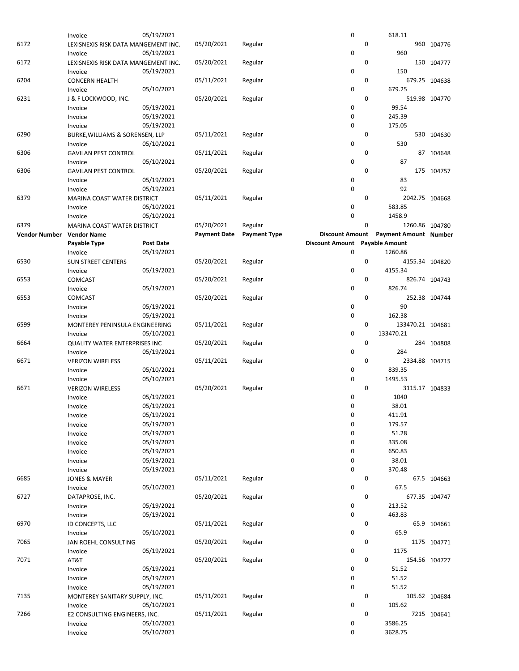|                      | Invoice                              | 05/19/2021               |                     |                     | $\pmb{0}$              |             | 618.11                       |                |
|----------------------|--------------------------------------|--------------------------|---------------------|---------------------|------------------------|-------------|------------------------------|----------------|
| 6172                 | LEXISNEXIS RISK DATA MANGEMENT INC.  |                          | 05/20/2021          | Regular             |                        | 0           |                              | 960 104776     |
|                      | Invoice                              | 05/19/2021               |                     |                     | $\mathbf 0$            |             | 960                          |                |
| 6172                 | LEXISNEXIS RISK DATA MANGEMENT INC.  |                          | 05/20/2021          | Regular             |                        | 0           |                              | 150 104777     |
|                      | Invoice                              | 05/19/2021               |                     |                     | $\mathbf 0$            |             | 150                          |                |
| 6204                 | <b>CONCERN HEALTH</b>                |                          | 05/11/2021          |                     |                        | 0           |                              | 679.25 104638  |
|                      |                                      | 05/10/2021               |                     | Regular             | $\mathbf 0$            |             | 679.25                       |                |
|                      | Invoice                              |                          |                     |                     |                        |             |                              |                |
| 6231                 | J & F LOCKWOOD, INC.                 |                          | 05/20/2021          | Regular             |                        | 0           |                              | 519.98 104770  |
|                      | Invoice                              | 05/19/2021               |                     |                     | 0                      |             | 99.54                        |                |
|                      | Invoice                              | 05/19/2021               |                     |                     | $\mathbf 0$            |             | 245.39                       |                |
|                      | Invoice                              | 05/19/2021               |                     |                     | $\mathbf 0$            |             | 175.05                       |                |
| 6290                 | BURKE, WILLIAMS & SORENSEN, LLP      |                          | 05/11/2021          | Regular             |                        | 0           |                              | 530 104630     |
|                      | Invoice                              | 05/10/2021               |                     |                     | 0                      |             | 530                          |                |
| 6306                 | <b>GAVILAN PEST CONTROL</b>          |                          | 05/11/2021          | Regular             |                        | 0           |                              | 87 104648      |
|                      | Invoice                              | 05/10/2021               |                     |                     | $\mathbf 0$            |             | 87                           |                |
| 6306                 | <b>GAVILAN PEST CONTROL</b>          |                          | 05/20/2021          | Regular             |                        | 0           |                              | 175 104757     |
|                      | Invoice                              | 05/19/2021               |                     |                     | 0                      |             | 83                           |                |
|                      | Invoice                              | 05/19/2021               |                     |                     | $\mathbf 0$            |             | 92                           |                |
|                      |                                      |                          |                     |                     |                        | 0           | 2042.75 104668               |                |
| 6379                 | MARINA COAST WATER DISTRICT          |                          | 05/11/2021          | Regular             |                        |             |                              |                |
|                      | Invoice                              | 05/10/2021               |                     |                     | 0                      |             | 583.85                       |                |
|                      | Invoice                              | 05/10/2021               |                     |                     | 0                      |             | 1458.9                       |                |
| 6379                 | MARINA COAST WATER DISTRICT          |                          | 05/20/2021          | Regular             |                        | 0           |                              | 1260.86 104780 |
| <b>Vendor Number</b> | <b>Vendor Name</b>                   |                          | <b>Payment Date</b> | <b>Payment Type</b> | <b>Discount Amount</b> |             | <b>Payment Amount Number</b> |                |
|                      | Payable Type                         | <b>Post Date</b>         |                     |                     | <b>Discount Amount</b> |             | <b>Payable Amount</b>        |                |
|                      | Invoice                              | 05/19/2021               |                     |                     | $\mathbf 0$            |             | 1260.86                      |                |
| 6530                 | <b>SUN STREET CENTERS</b>            |                          | 05/20/2021          | Regular             |                        | 0           |                              | 4155.34 104820 |
|                      | Invoice                              | 05/19/2021               |                     |                     | $\mathbf 0$            |             | 4155.34                      |                |
| 6553                 | COMCAST                              |                          | 05/20/2021          | Regular             |                        | 0           |                              | 826.74 104743  |
|                      | Invoice                              | 05/19/2021               |                     |                     | 0                      |             | 826.74                       |                |
| 6553                 |                                      |                          | 05/20/2021          |                     |                        | $\mathbf 0$ |                              | 252.38 104744  |
|                      | COMCAST                              |                          |                     | Regular             |                        |             |                              |                |
|                      | Invoice                              | 05/19/2021               |                     |                     | 0                      |             | 90                           |                |
|                      | Invoice                              | 05/19/2021               |                     |                     | $\mathbf 0$            |             | 162.38                       |                |
| 6599                 | MONTEREY PENINSULA ENGINEERING       |                          | 05/11/2021          | Regular             |                        | 0           | 133470.21 104681             |                |
|                      | Invoice                              | 05/10/2021               |                     |                     | $\mathbf 0$            |             | 133470.21                    |                |
| 6664                 | <b>QUALITY WATER ENTERPRISES INC</b> |                          | 05/20/2021          | Regular             |                        | 0           |                              | 284 104808     |
|                      | Invoice                              | 05/19/2021               |                     |                     | $\mathbf 0$            |             | 284                          |                |
| 6671                 | <b>VERIZON WIRELESS</b>              |                          | 05/11/2021          | Regular             |                        | 0           | 2334.88 104715               |                |
|                      | Invoice                              | 05/10/2021               |                     |                     | 0                      |             | 839.35                       |                |
|                      | Invoice                              | 05/10/2021               |                     |                     | $\mathbf 0$            |             | 1495.53                      |                |
| 6671                 | <b>VERIZON WIRELESS</b>              |                          | 05/20/2021          | Regular             |                        | $\mathbf 0$ | 3115.17 104833               |                |
|                      |                                      |                          |                     |                     |                        |             |                              |                |
|                      | Invoice                              | 05/19/2021               |                     |                     | 0                      |             | 1040                         |                |
|                      | Invoice                              | 05/19/2021               |                     |                     | $\mathbf 0$            |             | 38.01                        |                |
|                      | Invoice                              | 05/19/2021               |                     |                     | 0                      |             | 411.91                       |                |
|                      | Invoice                              | 05/19/2021               |                     |                     | $\mathbf 0$            |             | 179.57                       |                |
|                      | Invoice                              | 05/19/2021               |                     |                     | 0                      |             | 51.28                        |                |
|                      | Invoice                              | 05/19/2021               |                     |                     | 0                      |             | 335.08                       |                |
|                      | Invoice                              | 05/19/2021               |                     |                     | 0                      |             | 650.83                       |                |
|                      | Invoice                              | 05/19/2021               |                     |                     | 0                      |             | 38.01                        |                |
|                      | Invoice                              | 05/19/2021               |                     |                     | 0                      |             | 370.48                       |                |
| 6685                 | <b>JONES &amp; MAYER</b>             |                          | 05/11/2021          | Regular             |                        | 0           |                              | 67.5 104663    |
|                      | Invoice                              | 05/10/2021               |                     |                     | $\mathbf 0$            |             | 67.5                         |                |
| 6727                 | DATAPROSE, INC.                      |                          | 05/20/2021          | Regular             |                        | 0           |                              | 677.35 104747  |
|                      |                                      | 05/19/2021               |                     |                     | 0                      |             | 213.52                       |                |
|                      | Invoice                              |                          |                     |                     |                        |             |                              |                |
|                      | Invoice                              | 05/19/2021               |                     |                     | 0                      |             | 463.83                       |                |
| 6970                 | ID CONCEPTS, LLC                     |                          | 05/11/2021          | Regular             |                        | 0           |                              | 65.9 104661    |
|                      | Invoice                              | 05/10/2021               |                     |                     | $\mathbf 0$            |             | 65.9                         |                |
| 7065                 | JAN ROEHL CONSULTING                 |                          | 05/20/2021          | Regular             |                        | 0           |                              | 1175 104771    |
|                      | Invoice                              | 05/19/2021               |                     |                     | 0                      |             | 1175                         |                |
| 7071                 | AT&T                                 |                          | 05/20/2021          | Regular             |                        | 0           |                              | 154.56 104727  |
|                      | Invoice                              | 05/19/2021               |                     |                     | 0                      |             | 51.52                        |                |
|                      | Invoice                              | 05/19/2021               |                     |                     | $\mathbf 0$            |             | 51.52                        |                |
|                      | Invoice                              | 05/19/2021               |                     |                     | 0                      |             | 51.52                        |                |
| 7135                 | MONTEREY SANITARY SUPPLY, INC.       |                          | 05/11/2021          | Regular             |                        | 0           |                              | 105.62 104684  |
|                      | Invoice                              | 05/10/2021               |                     |                     | $\mathbf 0$            |             | 105.62                       |                |
| 7266                 |                                      |                          | 05/11/2021          |                     |                        | 0           |                              | 7215 104641    |
|                      | E2 CONSULTING ENGINEERS, INC.        |                          |                     | Regular             |                        |             |                              |                |
|                      | Invoice<br>Invoice                   | 05/10/2021<br>05/10/2021 |                     |                     | 0                      |             | 3586.25                      |                |
|                      |                                      |                          |                     |                     | 0                      |             | 3628.75                      |                |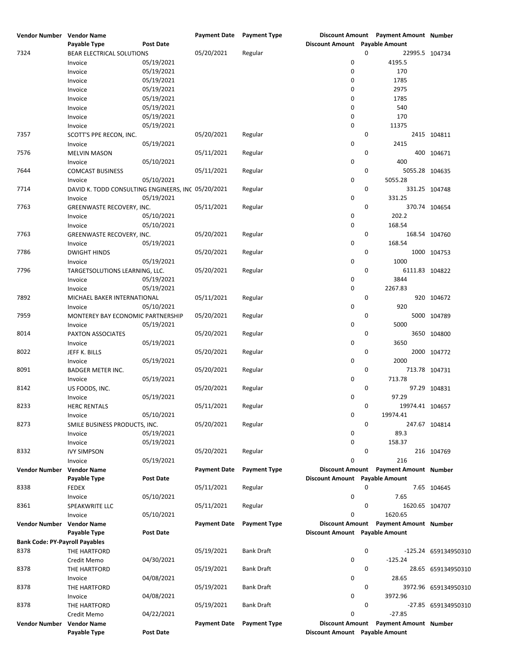| Vendor Number                         | <b>Vendor Name</b>                                 |                  | Payment Date Payment Type |                     |                                | Discount Amount Payment Amount Number |                      |
|---------------------------------------|----------------------------------------------------|------------------|---------------------------|---------------------|--------------------------------|---------------------------------------|----------------------|
|                                       | Payable Type                                       | Post Date        |                           |                     | Discount Amount Payable Amount |                                       |                      |
| 7324                                  | BEAR ELECTRICAL SOLUTIONS                          |                  | 05/20/2021                | Regular             |                                | 0<br>22995.5 104734                   |                      |
|                                       | Invoice                                            | 05/19/2021       |                           |                     | 0                              | 4195.5                                |                      |
|                                       | Invoice                                            | 05/19/2021       |                           |                     | 0                              | 170                                   |                      |
|                                       |                                                    |                  |                           |                     |                                |                                       |                      |
|                                       | Invoice                                            | 05/19/2021       |                           |                     | 0                              | 1785                                  |                      |
|                                       | Invoice                                            | 05/19/2021       |                           |                     | 0                              | 2975                                  |                      |
|                                       | Invoice                                            | 05/19/2021       |                           |                     | 0                              | 1785                                  |                      |
|                                       | Invoice                                            | 05/19/2021       |                           |                     | 0                              | 540                                   |                      |
|                                       | Invoice                                            | 05/19/2021       |                           |                     | 0                              | 170                                   |                      |
|                                       | Invoice                                            | 05/19/2021       |                           |                     | 0                              | 11375                                 |                      |
|                                       |                                                    |                  |                           |                     |                                |                                       |                      |
| 7357                                  | SCOTT'S PPE RECON, INC.                            |                  | 05/20/2021                | Regular             |                                | 0                                     | 2415 104811          |
|                                       | Invoice                                            | 05/19/2021       |                           |                     | 0                              | 2415                                  |                      |
| 7576                                  | <b>MELVIN MASON</b>                                |                  | 05/11/2021                | Regular             |                                | 0                                     | 400 104671           |
|                                       | Invoice                                            | 05/10/2021       |                           |                     | 0                              | 400                                   |                      |
| 7644                                  | <b>COMCAST BUSINESS</b>                            |                  | 05/11/2021                | Regular             |                                | 0<br>5055.28 104635                   |                      |
|                                       | Invoice                                            | 05/10/2021       |                           |                     | 0                              | 5055.28                               |                      |
|                                       |                                                    |                  |                           |                     |                                |                                       |                      |
| 7714                                  | DAVID K. TODD CONSULTING ENGINEERS, INC 05/20/2021 |                  |                           | Regular             |                                | 0                                     | 331.25 104748        |
|                                       | Invoice                                            | 05/19/2021       |                           |                     | 0                              | 331.25                                |                      |
| 7763                                  | GREENWASTE RECOVERY, INC.                          |                  | 05/11/2021                | Regular             |                                | 0                                     | 370.74 104654        |
|                                       | Invoice                                            | 05/10/2021       |                           |                     | 0                              | 202.2                                 |                      |
|                                       | Invoice                                            | 05/10/2021       |                           |                     | 0                              | 168.54                                |                      |
| 7763                                  |                                                    |                  | 05/20/2021                |                     |                                | 0                                     |                      |
|                                       | GREENWASTE RECOVERY, INC.                          |                  |                           | Regular             |                                |                                       | 168.54 104760        |
|                                       | Invoice                                            | 05/19/2021       |                           |                     | 0                              | 168.54                                |                      |
| 7786                                  | <b>DWIGHT HINDS</b>                                |                  | 05/20/2021                | Regular             |                                | 0                                     | 1000 104753          |
|                                       | Invoice                                            | 05/19/2021       |                           |                     | 0                              | 1000                                  |                      |
| 7796                                  | TARGETSOLUTIONS LEARNING, LLC.                     |                  | 05/20/2021                | Regular             |                                | 0<br>6111.83 104822                   |                      |
|                                       | Invoice                                            | 05/19/2021       |                           |                     | 0                              | 3844                                  |                      |
|                                       |                                                    |                  |                           |                     |                                |                                       |                      |
|                                       | Invoice                                            | 05/19/2021       |                           |                     | 0                              | 2267.83                               |                      |
| 7892                                  | MICHAEL BAKER INTERNATIONAL                        |                  | 05/11/2021                | Regular             |                                | 0                                     | 920 104672           |
|                                       | Invoice                                            | 05/10/2021       |                           |                     | 0                              | 920                                   |                      |
| 7959                                  | MONTEREY BAY ECONOMIC PARTNERSHIP                  |                  | 05/20/2021                | Regular             |                                | 0                                     | 5000 104789          |
|                                       | Invoice                                            | 05/19/2021       |                           |                     | 0                              | 5000                                  |                      |
| 8014                                  |                                                    |                  | 05/20/2021                |                     |                                | 0                                     | 3650 104800          |
|                                       | PAXTON ASSOCIATES                                  |                  |                           | Regular             |                                |                                       |                      |
|                                       | Invoice                                            | 05/19/2021       |                           |                     | 0                              | 3650                                  |                      |
| 8022                                  | JEFF K. BILLS                                      |                  | 05/20/2021                | Regular             |                                | 0                                     | 2000 104772          |
|                                       | Invoice                                            | 05/19/2021       |                           |                     | 0                              | 2000                                  |                      |
| 8091                                  | <b>BADGER METER INC.</b>                           |                  | 05/20/2021                | Regular             |                                | 0                                     | 713.78 104731        |
|                                       | Invoice                                            | 05/19/2021       |                           |                     | 0                              | 713.78                                |                      |
|                                       |                                                    |                  |                           |                     |                                |                                       |                      |
| 8142                                  | US FOODS, INC.                                     |                  | 05/20/2021                | Regular             |                                | 0                                     | 97.29 104831         |
|                                       | Invoice                                            | 05/19/2021       |                           |                     | 0                              | 97.29                                 |                      |
| 8233                                  | <b>HERC RENTALS</b>                                |                  | 05/11/2021                | Regular             |                                | 0<br>19974.41 104657                  |                      |
|                                       | Invoice                                            | 05/10/2021       |                           |                     | 0                              | 19974.41                              |                      |
| 8273                                  | SMILE BUSINESS PRODUCTS, INC.                      |                  | 05/20/2021                | Regular             |                                | 0                                     | 247.67 104814        |
|                                       | Invoice                                            | 05/19/2021       |                           |                     | 0                              | 89.3                                  |                      |
|                                       |                                                    |                  |                           |                     |                                |                                       |                      |
|                                       | Invoice                                            | 05/19/2021       |                           |                     | 0                              | 158.37                                |                      |
| 8332                                  | <b>IVY SIMPSON</b>                                 |                  | 05/20/2021                | Regular             |                                | 0                                     | 216 104769           |
|                                       | Invoice                                            | 05/19/2021       |                           |                     | 0                              | 216                                   |                      |
| Vendor Number                         | <b>Vendor Name</b>                                 |                  | <b>Payment Date</b>       | <b>Payment Type</b> | <b>Discount Amount</b>         | <b>Payment Amount Number</b>          |                      |
|                                       | Payable Type                                       | Post Date        |                           |                     | <b>Discount Amount</b>         | <b>Payable Amount</b>                 |                      |
| 8338                                  |                                                    |                  | 05/11/2021                |                     |                                | 0                                     |                      |
|                                       | <b>FEDEX</b>                                       |                  |                           | Regular             |                                |                                       | 7.65 104645          |
|                                       | Invoice                                            | 05/10/2021       |                           |                     | 0                              | 7.65                                  |                      |
| 8361                                  | SPEAKWRITE LLC                                     |                  | 05/11/2021                | Regular             |                                | 0<br>1620.65 104707                   |                      |
|                                       | Invoice                                            | 05/10/2021       |                           |                     | 0                              | 1620.65                               |                      |
| Vendor Number                         | <b>Vendor Name</b>                                 |                  | <b>Payment Date</b>       | <b>Payment Type</b> |                                | Discount Amount Payment Amount Number |                      |
|                                       | Payable Type                                       | Post Date        |                           |                     | Discount Amount Payable Amount |                                       |                      |
|                                       |                                                    |                  |                           |                     |                                |                                       |                      |
| <b>Bank Code: PY-Payroll Payables</b> |                                                    |                  |                           |                     |                                |                                       |                      |
| 8378                                  | THE HARTFORD                                       |                  | 05/19/2021                | <b>Bank Draft</b>   |                                | 0                                     | -125.24 659134950310 |
|                                       | Credit Memo                                        | 04/30/2021       |                           |                     | 0                              | $-125.24$                             |                      |
| 8378                                  | THE HARTFORD                                       |                  | 05/19/2021                | Bank Draft          |                                | 0                                     | 28.65 659134950310   |
|                                       | Invoice                                            | 04/08/2021       |                           |                     | 0                              | 28.65                                 |                      |
|                                       |                                                    |                  |                           |                     |                                |                                       |                      |
| 8378                                  | THE HARTFORD                                       |                  | 05/19/2021                | <b>Bank Draft</b>   |                                | 0                                     | 3972.96 659134950310 |
|                                       | Invoice                                            | 04/08/2021       |                           |                     | 0                              | 3972.96                               |                      |
| 8378                                  | THE HARTFORD                                       |                  | 05/19/2021                | Bank Draft          |                                | 0                                     | -27.85 659134950310  |
|                                       | Credit Memo                                        | 04/22/2021       |                           |                     | 0                              | $-27.85$                              |                      |
| Vendor Number                         | <b>Vendor Name</b>                                 |                  | <b>Payment Date</b>       | <b>Payment Type</b> | <b>Discount Amount</b>         | <b>Payment Amount Number</b>          |                      |
|                                       |                                                    | <b>Post Date</b> |                           |                     | Discount Amount Payable Amount |                                       |                      |
|                                       | Payable Type                                       |                  |                           |                     |                                |                                       |                      |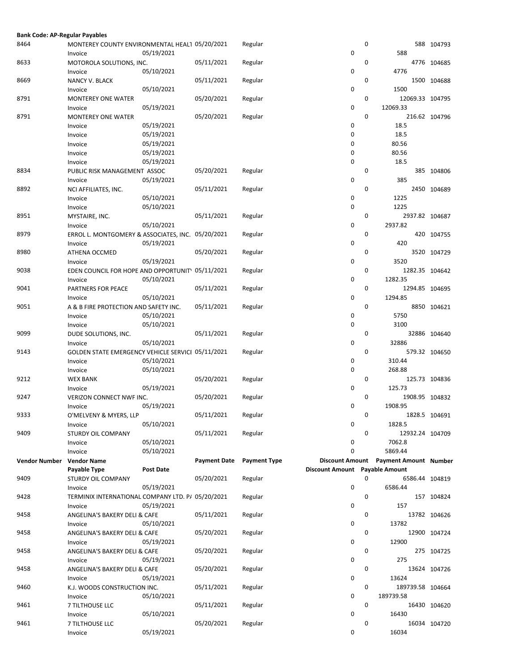| <b>Bank Code: AP-Regular Payables</b> |                                                            |                  |                     |                     |                                |             |                                       |               |
|---------------------------------------|------------------------------------------------------------|------------------|---------------------|---------------------|--------------------------------|-------------|---------------------------------------|---------------|
| 8464                                  | MONTEREY COUNTY ENVIRONMENTAL HEAL1 05/20/2021             | 05/19/2021       |                     | Regular             | 0                              | 0           | 588                                   | 588 104793    |
| 8633                                  | Invoice<br>MOTOROLA SOLUTIONS, INC.                        |                  | 05/11/2021          | Regular             |                                | 0           |                                       | 4776 104685   |
| 8669                                  | Invoice<br>NANCY V. BLACK                                  | 05/10/2021       | 05/11/2021          | Regular             | 0                              | 0           | 4776                                  | 1500 104688   |
|                                       | Invoice                                                    | 05/10/2021       |                     |                     | 0                              | 0           | 1500                                  |               |
| 8791                                  | <b>MONTEREY ONE WATER</b><br>Invoice                       | 05/19/2021       | 05/20/2021          | Regular             | 0                              |             | 12069.33 104795<br>12069.33           |               |
| 8791                                  | <b>MONTEREY ONE WATER</b><br>Invoice                       | 05/19/2021       | 05/20/2021          | Regular             | 0                              | $\mathbf 0$ | 18.5                                  | 216.62 104796 |
|                                       | Invoice                                                    | 05/19/2021       |                     |                     | 0                              |             | 18.5                                  |               |
|                                       | Invoice                                                    | 05/19/2021       |                     |                     | 0                              |             | 80.56                                 |               |
|                                       | Invoice                                                    | 05/19/2021       |                     |                     | 0                              |             | 80.56                                 |               |
|                                       | Invoice                                                    | 05/19/2021       |                     |                     | 0                              |             | 18.5                                  |               |
| 8834                                  | PUBLIC RISK MANAGEMENT ASSOC                               |                  | 05/20/2021          | Regular             |                                | 0           |                                       | 385 104806    |
|                                       | Invoice                                                    | 05/19/2021       |                     |                     | 0                              |             | 385                                   |               |
| 8892                                  | NCI AFFILIATES, INC.                                       |                  | 05/11/2021          | Regular             |                                | $\mathbf 0$ |                                       | 2450 104689   |
|                                       | Invoice                                                    | 05/10/2021       |                     |                     | 0                              |             | 1225                                  |               |
|                                       | Invoice                                                    | 05/10/2021       |                     |                     | 0                              |             | 1225                                  |               |
| 8951                                  | MYSTAIRE, INC.                                             |                  | 05/11/2021          | Regular             |                                | 0           | 2937.82 104687                        |               |
|                                       | Invoice                                                    | 05/10/2021       |                     |                     | 0                              |             | 2937.82                               |               |
| 8979                                  | ERROL L. MONTGOMERY & ASSOCIATES, INC. 05/20/2021          |                  |                     | Regular             |                                | 0           |                                       | 420 104755    |
|                                       | Invoice                                                    | 05/19/2021       |                     |                     | 0                              |             | 420                                   |               |
| 8980                                  | ATHENA OCCMED                                              |                  | 05/20/2021          | Regular             |                                | 0           |                                       | 3520 104729   |
|                                       | Invoice                                                    | 05/19/2021       |                     |                     | 0                              |             | 3520                                  |               |
| 9038                                  | EDEN COUNCIL FOR HOPE AND OPPORTUNIT 05/11/2021<br>Invoice | 05/10/2021       |                     | Regular             | 0                              | 0           | 1282.35 104642<br>1282.35             |               |
| 9041                                  | PARTNERS FOR PEACE                                         |                  | 05/11/2021          | Regular             |                                | 0           | 1294.85 104695                        |               |
|                                       | Invoice                                                    | 05/10/2021       |                     |                     | 0                              |             | 1294.85                               |               |
| 9051                                  | A & B FIRE PROTECTION AND SAFETY INC.                      |                  | 05/11/2021          | Regular             |                                | 0           |                                       | 8850 104621   |
|                                       | Invoice                                                    | 05/10/2021       |                     |                     | 0                              |             | 5750                                  |               |
|                                       | Invoice                                                    | 05/10/2021       |                     |                     | 0                              |             | 3100                                  |               |
| 9099                                  | DUDE SOLUTIONS, INC.                                       |                  | 05/11/2021          | Regular             |                                | 0           |                                       | 32886 104640  |
|                                       | Invoice                                                    | 05/10/2021       |                     |                     | 0                              |             | 32886                                 |               |
| 9143                                  | GOLDEN STATE EMERGENCY VEHICLE SERVICI 05/11/2021          |                  |                     | Regular             |                                | $\mathbf 0$ |                                       | 579.32 104650 |
|                                       | Invoice                                                    | 05/10/2021       |                     |                     | 0                              |             | 310.44                                |               |
|                                       | Invoice                                                    | 05/10/2021       |                     |                     | 0                              |             | 268.88                                |               |
| 9212                                  | <b>WEX BANK</b>                                            |                  | 05/20/2021          | Regular             |                                | 0           |                                       | 125.73 104836 |
|                                       | Invoice                                                    | 05/19/2021       |                     |                     | 0                              |             | 125.73                                |               |
| 9247                                  | VERIZON CONNECT NWF INC.                                   |                  | 05/20/2021          | Regular             |                                | 0           | 1908.95 104832                        |               |
|                                       | Invoice                                                    | 05/19/2021       |                     |                     | 0                              |             | 1908.95                               |               |
| 9333                                  | O'MELVENY & MYERS, LLP<br>Invoice                          | 05/10/2021       | 05/11/2021          | Regular             | 0                              | 0           | 1828.5                                | 1828.5 104691 |
| 9409                                  | STURDY OIL COMPANY                                         |                  | 05/11/2021          | Regular             |                                | 0           | 12932.24 104709                       |               |
|                                       | Invoice                                                    | 05/10/2021       |                     |                     | 0                              |             | 7062.8                                |               |
|                                       | Invoice                                                    | 05/10/2021       |                     |                     | 0                              |             | 5869.44                               |               |
| <b>Vendor Number</b>                  | <b>Vendor Name</b>                                         |                  | <b>Payment Date</b> | <b>Payment Type</b> |                                |             | Discount Amount Payment Amount Number |               |
|                                       | Payable Type                                               | <b>Post Date</b> |                     |                     | Discount Amount Payable Amount |             |                                       |               |
| 9409                                  | STURDY OIL COMPANY                                         |                  | 05/20/2021          | Regular             |                                | 0           | 6586.44 104819                        |               |
|                                       | Invoice                                                    | 05/19/2021       |                     |                     | 0                              |             | 6586.44                               |               |
| 9428                                  | TERMINIX INTERNATIONAL COMPANY LTD. P/ 05/20/2021          |                  |                     | Regular             |                                | 0           |                                       | 157 104824    |
|                                       | Invoice                                                    | 05/19/2021       |                     |                     | 0                              |             | 157                                   |               |
| 9458                                  | ANGELINA'S BAKERY DELI & CAFE                              |                  | 05/11/2021          | Regular             |                                | 0           |                                       | 13782 104626  |
|                                       | Invoice                                                    | 05/10/2021       |                     |                     | 0                              |             | 13782                                 |               |
| 9458                                  | ANGELINA'S BAKERY DELI & CAFE                              |                  | 05/20/2021          | Regular             |                                | 0           |                                       | 12900 104724  |
|                                       | Invoice                                                    | 05/19/2021       |                     |                     | 0                              |             | 12900                                 |               |
| 9458                                  | ANGELINA'S BAKERY DELI & CAFE                              |                  | 05/20/2021          | Regular             |                                | 0           |                                       | 275 104725    |
|                                       | Invoice                                                    | 05/19/2021       |                     |                     | 0                              | 0           | 275                                   |               |
| 9458                                  | ANGELINA'S BAKERY DELI & CAFE                              | 05/19/2021       | 05/20/2021          | Regular             | 0                              |             | 13624                                 | 13624 104726  |
| 9460                                  | Invoice<br>K.J. WOODS CONSTRUCTION INC.                    |                  | 05/11/2021          | Regular             |                                | 0           | 189739.58 104664                      |               |
|                                       | Invoice                                                    | 05/10/2021       |                     |                     | 0                              |             | 189739.58                             |               |
| 9461                                  | 7 TILTHOUSE LLC                                            |                  | 05/11/2021          | Regular             |                                | 0           |                                       | 16430 104620  |
|                                       | Invoice                                                    | 05/10/2021       |                     |                     | 0                              |             | 16430                                 |               |
| 9461                                  | 7 TILTHOUSE LLC                                            |                  | 05/20/2021          | Regular             |                                | 0           |                                       | 16034 104720  |
|                                       | Invoice                                                    | 05/19/2021       |                     |                     | 0                              |             | 16034                                 |               |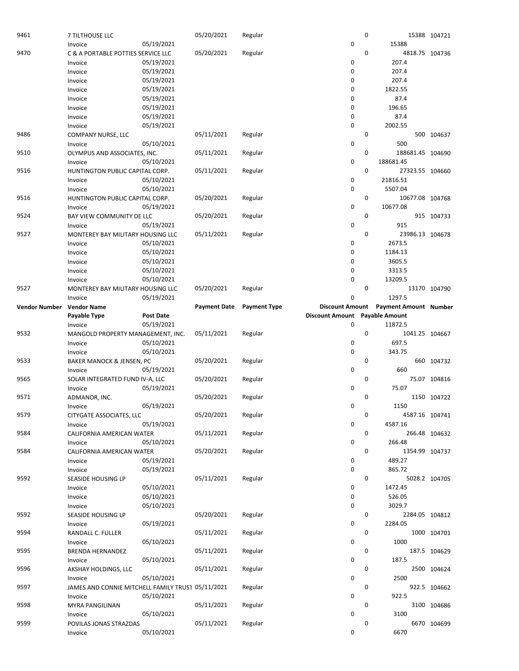| 9461                 | 7 TILTHOUSE LLC                                   |                  | 05/20/2021          | Regular             |                        | $\mathbf 0$ |                              | 15388 104721  |
|----------------------|---------------------------------------------------|------------------|---------------------|---------------------|------------------------|-------------|------------------------------|---------------|
|                      | Invoice                                           | 05/19/2021       |                     |                     | 0                      |             | 15388                        |               |
| 9470                 | C & A PORTABLE POTTIES SERVICE LLC                |                  | 05/20/2021          | Regular             |                        | 0           | 4818.75 104736               |               |
|                      | Invoice                                           | 05/19/2021       |                     |                     | 0                      |             | 207.4                        |               |
|                      | Invoice                                           | 05/19/2021       |                     |                     | 0                      |             | 207.4                        |               |
|                      | Invoice                                           | 05/19/2021       |                     |                     | 0                      |             | 207.4                        |               |
|                      |                                                   | 05/19/2021       |                     |                     | 0                      |             | 1822.55                      |               |
|                      | Invoice                                           |                  |                     |                     |                        |             |                              |               |
|                      | Invoice                                           | 05/19/2021       |                     |                     | 0                      |             | 87.4                         |               |
|                      | Invoice                                           | 05/19/2021       |                     |                     | 0                      |             | 196.65                       |               |
|                      | Invoice                                           | 05/19/2021       |                     |                     | 0                      |             | 87.4                         |               |
|                      | Invoice                                           | 05/19/2021       |                     |                     | 0                      |             | 2002.55                      |               |
| 9486                 | COMPANY NURSE, LLC                                |                  | 05/11/2021          | Regular             |                        | $\mathbf 0$ |                              | 500 104637    |
|                      | Invoice                                           | 05/10/2021       |                     |                     | 0                      |             | 500                          |               |
| 9510                 | OLYMPUS AND ASSOCIATES, INC.                      |                  | 05/11/2021          | Regular             |                        | 0           | 188681.45 104690             |               |
|                      |                                                   |                  |                     |                     | 0                      |             | 188681.45                    |               |
|                      | Invoice                                           | 05/10/2021       |                     |                     |                        |             |                              |               |
| 9516                 | HUNTINGTON PUBLIC CAPITAL CORP.                   |                  | 05/11/2021          | Regular             |                        | $\mathbf 0$ | 27323.55 104660              |               |
|                      | Invoice                                           | 05/10/2021       |                     |                     | 0                      |             | 21816.51                     |               |
|                      | Invoice                                           | 05/10/2021       |                     |                     | 0                      |             | 5507.04                      |               |
| 9516                 | HUNTINGTON PUBLIC CAPITAL CORP.                   |                  | 05/20/2021          | Regular             |                        | 0           | 10677.08 104768              |               |
|                      | Invoice                                           | 05/19/2021       |                     |                     | 0                      |             | 10677.08                     |               |
| 9524                 | BAY VIEW COMMUNITY DE LLC                         |                  | 05/20/2021          | Regular             |                        | $\mathbf 0$ |                              | 915 104733    |
|                      | Invoice                                           | 05/19/2021       |                     |                     | 0                      |             | 915                          |               |
|                      |                                                   |                  |                     |                     |                        | 0           |                              |               |
| 9527                 | MONTEREY BAY MILITARY HOUSING LLC                 |                  | 05/11/2021          | Regular             |                        |             | 23986.13 104678              |               |
|                      | Invoice                                           | 05/10/2021       |                     |                     | 0                      |             | 2673.5                       |               |
|                      | Invoice                                           | 05/10/2021       |                     |                     | 0                      |             | 1184.13                      |               |
|                      | Invoice                                           | 05/10/2021       |                     |                     | 0                      |             | 3605.5                       |               |
|                      | Invoice                                           | 05/10/2021       |                     |                     | 0                      |             | 3313.5                       |               |
|                      | Invoice                                           | 05/10/2021       |                     |                     | $\mathbf 0$            |             | 13209.5                      |               |
| 9527                 | MONTEREY BAY MILITARY HOUSING LLC                 |                  | 05/20/2021          | Regular             |                        | $\mathbf 0$ |                              | 13170 104790  |
|                      | Invoice                                           | 05/19/2021       |                     |                     | $\mathbf 0$            |             | 1297.5                       |               |
|                      |                                                   |                  |                     |                     |                        |             |                              |               |
| <b>Vendor Number</b> | <b>Vendor Name</b>                                |                  | <b>Payment Date</b> | <b>Payment Type</b> | <b>Discount Amount</b> |             | <b>Payment Amount Number</b> |               |
|                      | Payable Type                                      | <b>Post Date</b> |                     |                     | <b>Discount Amount</b> |             | <b>Payable Amount</b>        |               |
|                      | Invoice                                           | 05/19/2021       |                     |                     | 0                      |             | 11872.5                      |               |
|                      |                                                   |                  |                     |                     |                        |             |                              |               |
| 9532                 | MANGOLD PROPERTY MANAGEMENT, INC.                 |                  | 05/11/2021          | Regular             |                        | 0           | 1041.25 104667               |               |
|                      | Invoice                                           | 05/10/2021       |                     |                     | 0                      |             | 697.5                        |               |
|                      |                                                   | 05/10/2021       |                     |                     | 0                      |             | 343.75                       |               |
|                      | Invoice                                           |                  |                     |                     |                        |             |                              |               |
| 9533                 | BAKER MANOCK & JENSEN, PC                         |                  | 05/20/2021          | Regular             |                        | 0           |                              | 660 104732    |
|                      | Invoice                                           | 05/19/2021       |                     |                     | 0                      |             | 660                          |               |
| 9565                 | SOLAR INTEGRATED FUND IV-A, LLC                   |                  | 05/20/2021          | Regular             |                        | $\mathbf 0$ |                              | 75.07 104816  |
|                      | Invoice                                           | 05/19/2021       |                     |                     | 0                      |             | 75.07                        |               |
| 9571                 | ADMANOR, INC.                                     |                  | 05/20/2021          | Regular             |                        | 0           |                              | 1150 104722   |
|                      | Invoice                                           | 05/19/2021       |                     |                     | 0                      |             | 1150                         |               |
| 9579                 | CITYGATE ASSOCIATES, LLC                          |                  | 05/20/2021          | Regular             |                        | 0           | 4587.16 104741               |               |
|                      | Invoice                                           | 05/19/2021       |                     |                     | 0                      |             | 4587.16                      |               |
|                      |                                                   |                  |                     |                     |                        |             |                              |               |
| 9584                 | CALIFORNIA AMERICAN WATER                         |                  | 05/11/2021          | Regular             |                        | 0           |                              | 266.48 104632 |
|                      | Invoice                                           | 05/10/2021       |                     |                     | 0                      |             | 266.48                       |               |
| 9584                 | CALIFORNIA AMERICAN WATER                         |                  | 05/20/2021          | Regular             |                        | 0           | 1354.99 104737               |               |
|                      | Invoice                                           | 05/19/2021       |                     |                     | 0                      |             | 489.27                       |               |
|                      | Invoice                                           | 05/19/2021       |                     |                     | 0                      |             | 865.72                       |               |
| 9592                 | SEASIDE HOUSING LP                                |                  | 05/11/2021          | Regular             |                        | 0           |                              | 5028.2 104705 |
|                      | Invoice                                           | 05/10/2021       |                     |                     | 0                      |             | 1472.45                      |               |
|                      |                                                   |                  |                     |                     | 0                      |             |                              |               |
|                      | Invoice                                           | 05/10/2021       |                     |                     |                        |             | 526.05                       |               |
|                      | Invoice                                           | 05/10/2021       |                     |                     | 0                      |             | 3029.7                       |               |
| 9592                 | SEASIDE HOUSING LP                                |                  | 05/20/2021          | Regular             |                        | 0           | 2284.05 104812               |               |
|                      | Invoice                                           | 05/19/2021       |                     |                     | 0                      |             | 2284.05                      |               |
| 9594                 | RANDALL C. FULLER                                 |                  | 05/11/2021          | Regular             |                        | 0           |                              | 1000 104701   |
|                      | Invoice                                           | 05/10/2021       |                     |                     | 0                      |             | 1000                         |               |
| 9595                 | <b>BRENDA HERNANDEZ</b>                           |                  | 05/11/2021          | Regular             |                        | 0           |                              | 187.5 104629  |
|                      | Invoice                                           | 05/10/2021       |                     |                     | 0                      |             | 187.5                        |               |
| 9596                 | AKSHAY HOLDINGS, LLC                              |                  | 05/11/2021          | Regular             |                        | 0           |                              | 2500 104624   |
|                      |                                                   |                  |                     |                     | 0                      |             | 2500                         |               |
|                      | Invoice                                           | 05/10/2021       |                     |                     |                        |             |                              |               |
| 9597                 | JAMES AND CONNIE MITCHELL FAMILY TRUS1 05/11/2021 |                  |                     | Regular             |                        | 0           |                              | 922.5 104662  |
|                      | Invoice                                           | 05/10/2021       |                     |                     | 0                      |             | 922.5                        |               |
| 9598                 | <b>MYRA PANGILINAN</b>                            |                  | 05/11/2021          | Regular             |                        | 0           |                              | 3100 104686   |
|                      | Invoice                                           | 05/10/2021       |                     |                     | 0                      |             | 3100                         |               |
| 9599                 | POVILAS JONAS STRAZDAS                            |                  | 05/11/2021          | Regular             |                        | 0           |                              | 6670 104699   |